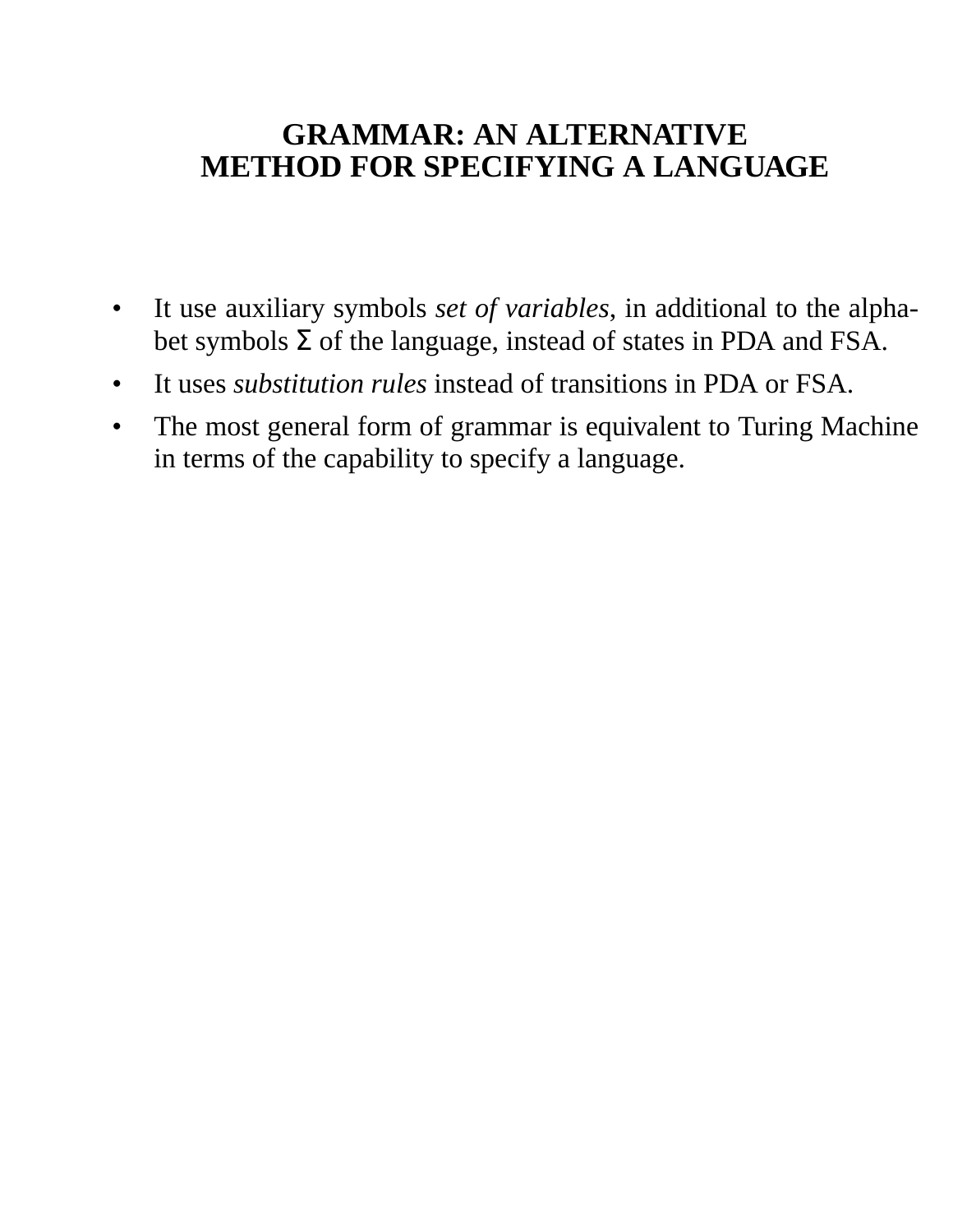# **GRAMMAR: AN ALTERNATIVE METHOD FOR SPECIFYING A LANGUAGE**

- It use auxiliary symbols *set of variables*, in additional to the alphabet symbols  $\Sigma$  of the language, instead of states in PDA and FSA.
- It uses *substitution rules* instead of transitions in PDA or FSA.
- The most general form of grammar is equivalent to Turing Machine in terms of the capability to specify a language.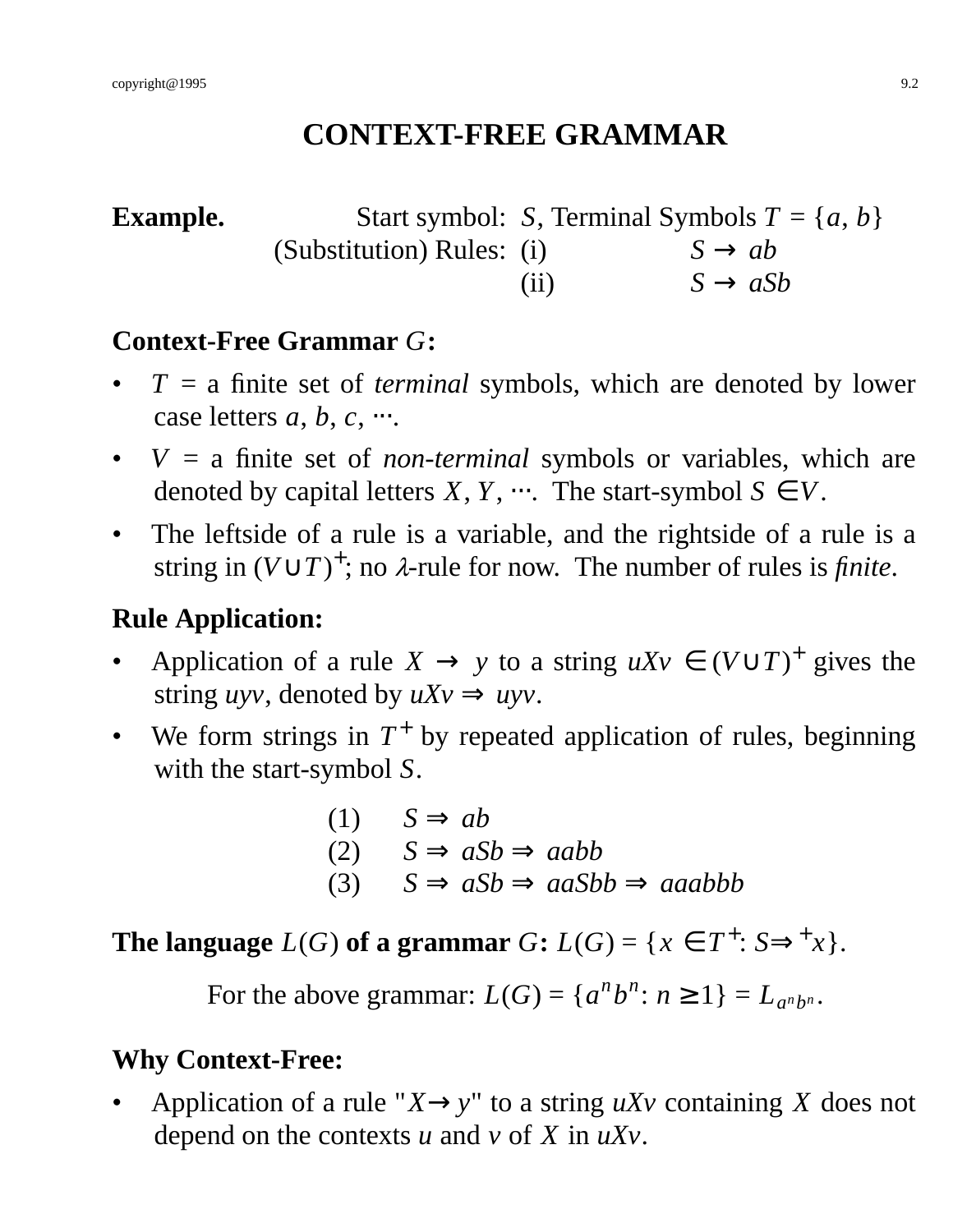# **CONTEXT-FREE GRAMMAR**

**Example.** Start symbol: *S*, Terminal Symbols  $T = \{a, b\}$ (Substitution) Rules: (i)  $S \rightarrow ab$ (ii)  $S \rightarrow aSb$ 

# **Context-Free Grammar** *G***:**

- $T = a$  finite set of *terminal* symbols, which are denoted by lower case letters *a*, *b*, *c*, ….
- $V = a$  finite set of *non-terminal* symbols or variables, which are denoted by capital letters *X*, *Y*,  $\cdots$ . The start-symbol  $S \in V$ .
- The leftside of a rule is a variable, and the rightside of a rule is a string in  $(V \cup T)^+$ ; no  $\lambda$ -rule for now. The number of rules is *finite*.

# **Rule Application:**

- Application of a rule  $X \to y$  to a string  $uXv \in (V \cup T)^+$  gives the string *uyv*, denoted by  $uXv \Rightarrow uvy$ .
- We form strings in  $T^+$  by repeated application of rules, beginning with the start-symbol *S*.

(1) 
$$
S \Rightarrow ab
$$
  
(2)  $S \Rightarrow aSb \Rightarrow aabb$   
(3)  $S \Rightarrow aSb \Rightarrow aasbb \Rightarrow aaabbb$ 

**The language**  $L(G)$  of a grammar  $G: L(G) = \{x \in T^+ : S \Rightarrow^+ x\}.$ 

For the above grammar:  $L(G) = \{a^n b^n : n \ge 1\} = L_{a^n b^n}$ .

## **Why Context-Free:**

Application of a rule " $X \rightarrow y$ " to a string *uXv* containing *X* does not depend on the contexts *u* and *v* of *X* in *uXv*.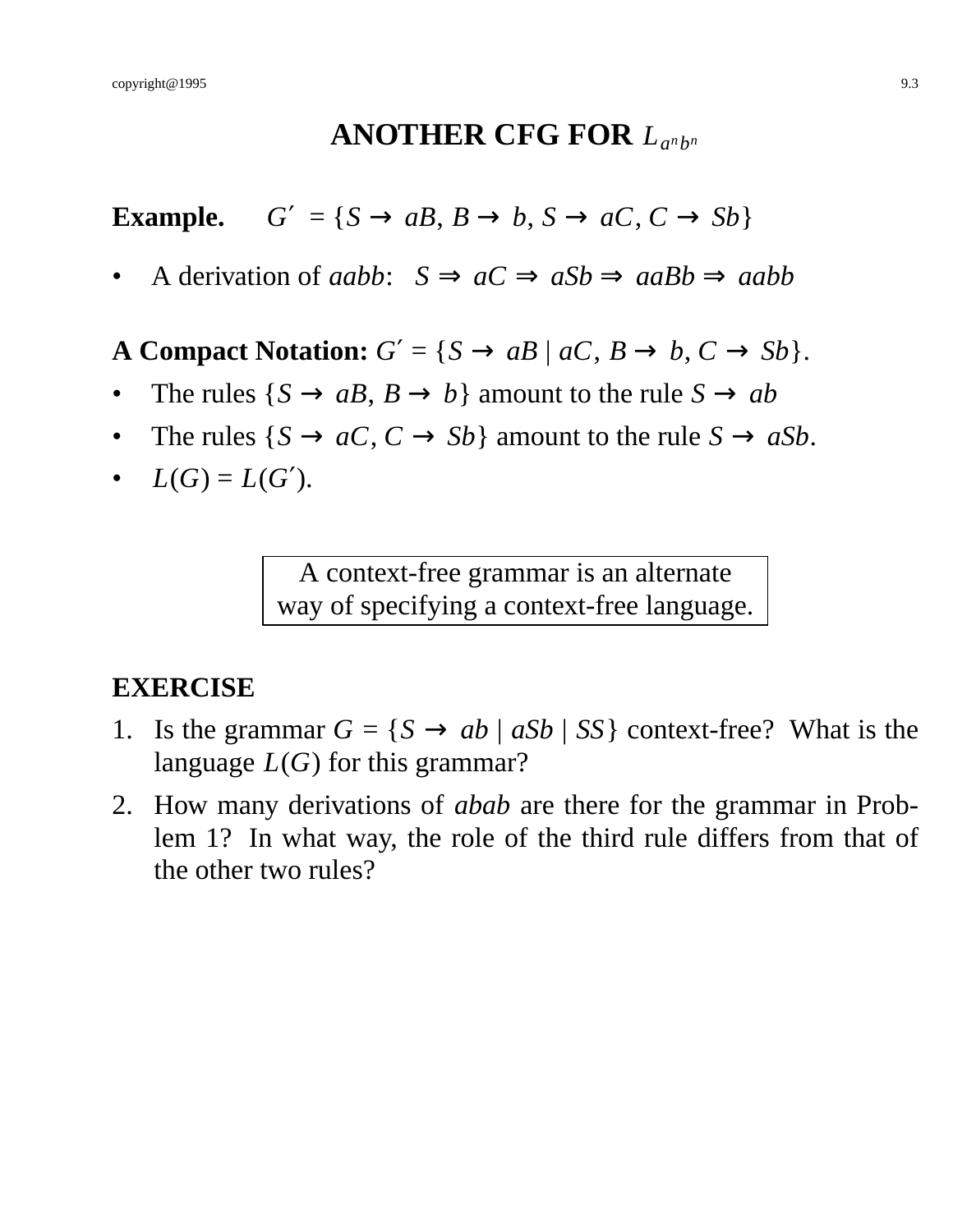# ANOTHER CFG FOR  $L_{a^n b^n}$

**Example.**  $G' = \{S \rightarrow aB, B \rightarrow b, S \rightarrow aC, C \rightarrow Sb\}$ 

• A derivation of *aabb*:  $S \implies aC \implies aSb \implies aabb$ 

**A Compact Notation:**  $G' = \{S \rightarrow aB \mid aC, B \rightarrow b, C \rightarrow Sb\}.$ 

- The rules  $\{S \rightarrow aB, B \rightarrow b\}$  amount to the rule  $S \rightarrow ab$
- The rules  $\{S \rightarrow aC, C \rightarrow Sb\}$  amount to the rule  $S \rightarrow aSb$ .
- $L(G) = L(G')$ .

A context-free grammar is an alternate way of specifying a context-free language.

#### **EXERCISE**

- 1. Is the grammar  $G = \{S \rightarrow ab \mid aSb \mid SS\}$  context-free? What is the language *L*(*G*) for this grammar?
- 2. How many derivations of *abab* are there for the grammar in Problem 1? In what way, the role of the third rule differs from that of the other two rules?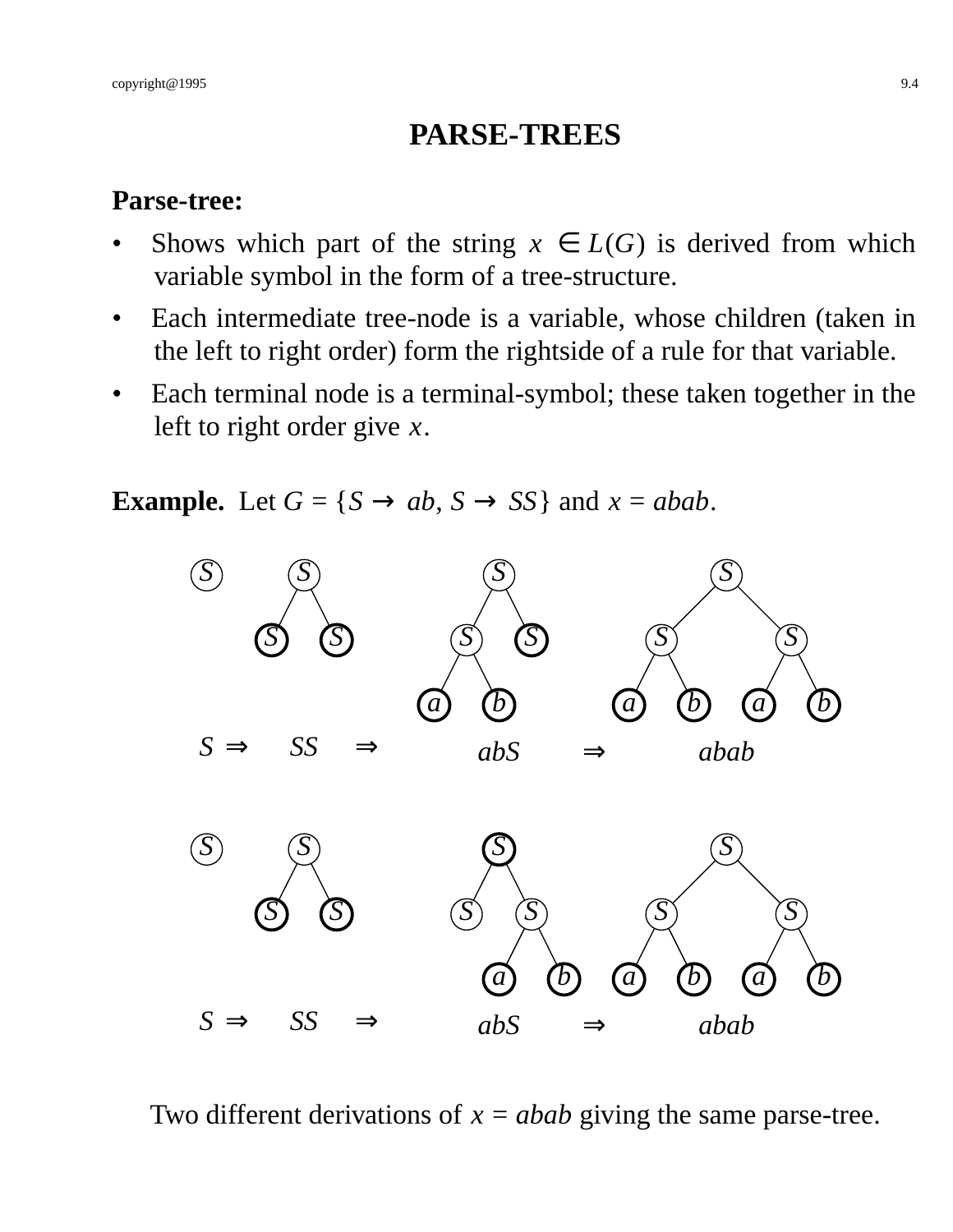# **PARSE-TREES**

#### **Parse-tree:**

- Shows which part of the string  $x \in L(G)$  is derived from which variable symbol in the form of a tree-structure.
- Each intermediate tree-node is a variable, whose children (taken in the left to right order) form the rightside of a rule for that variable.
- Each terminal node is a terminal-symbol; these taken together in the left to right order give *x*.

**Example.** Let  $G = \{S \rightarrow ab, S \rightarrow SS\}$  and  $x = abab$ .



Two different derivations of  $x = abab$  giving the same parse-tree.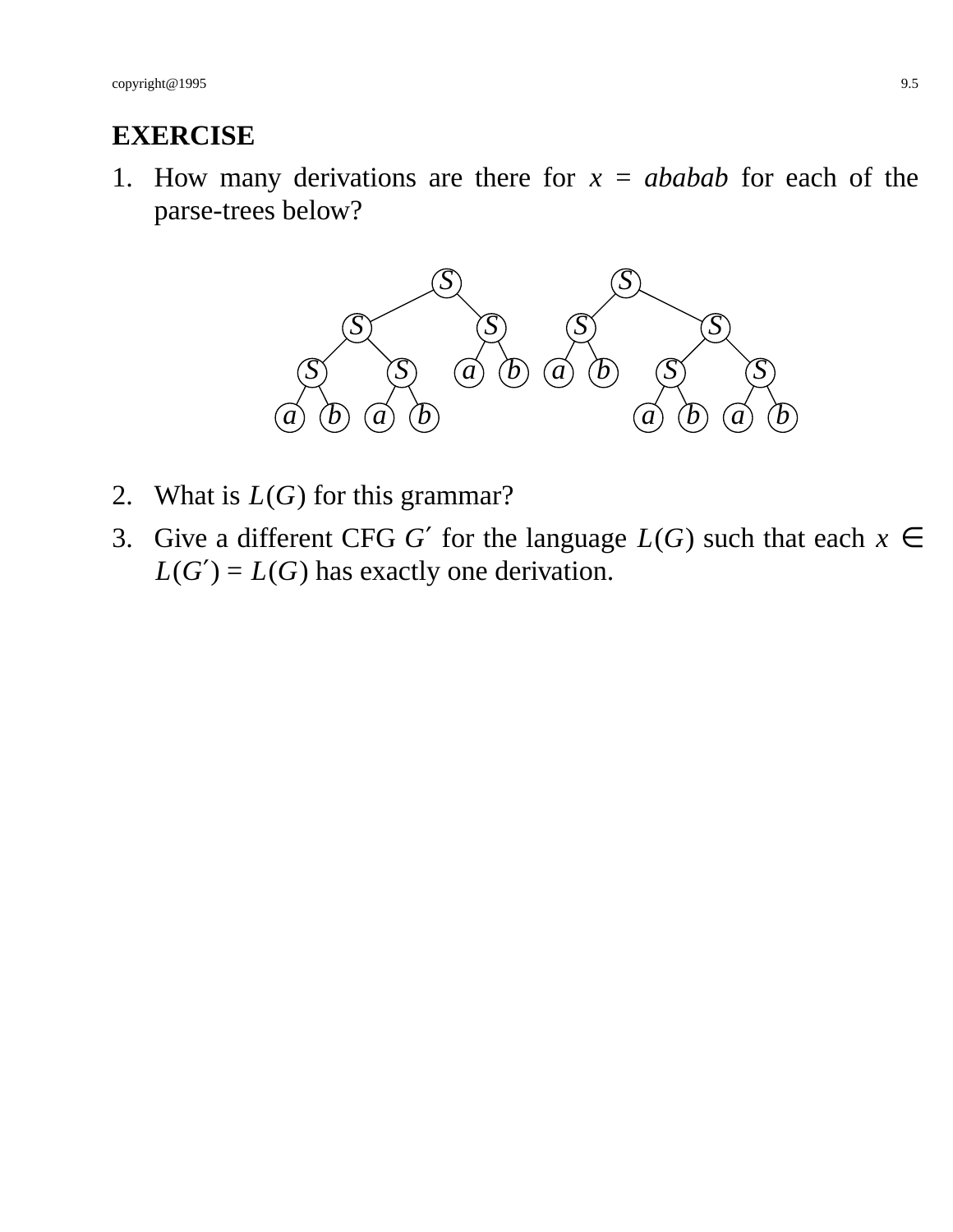#### **EXERCISE**

1. How many derivations are there for  $x = ababab$  for each of the parse-trees below?



- 2. What is *L*(*G*) for this grammar?
- 3. Give a different CFG *G'* for the language  $L(G)$  such that each  $x \in$  $L(G') = L(G)$  has exactly one derivation.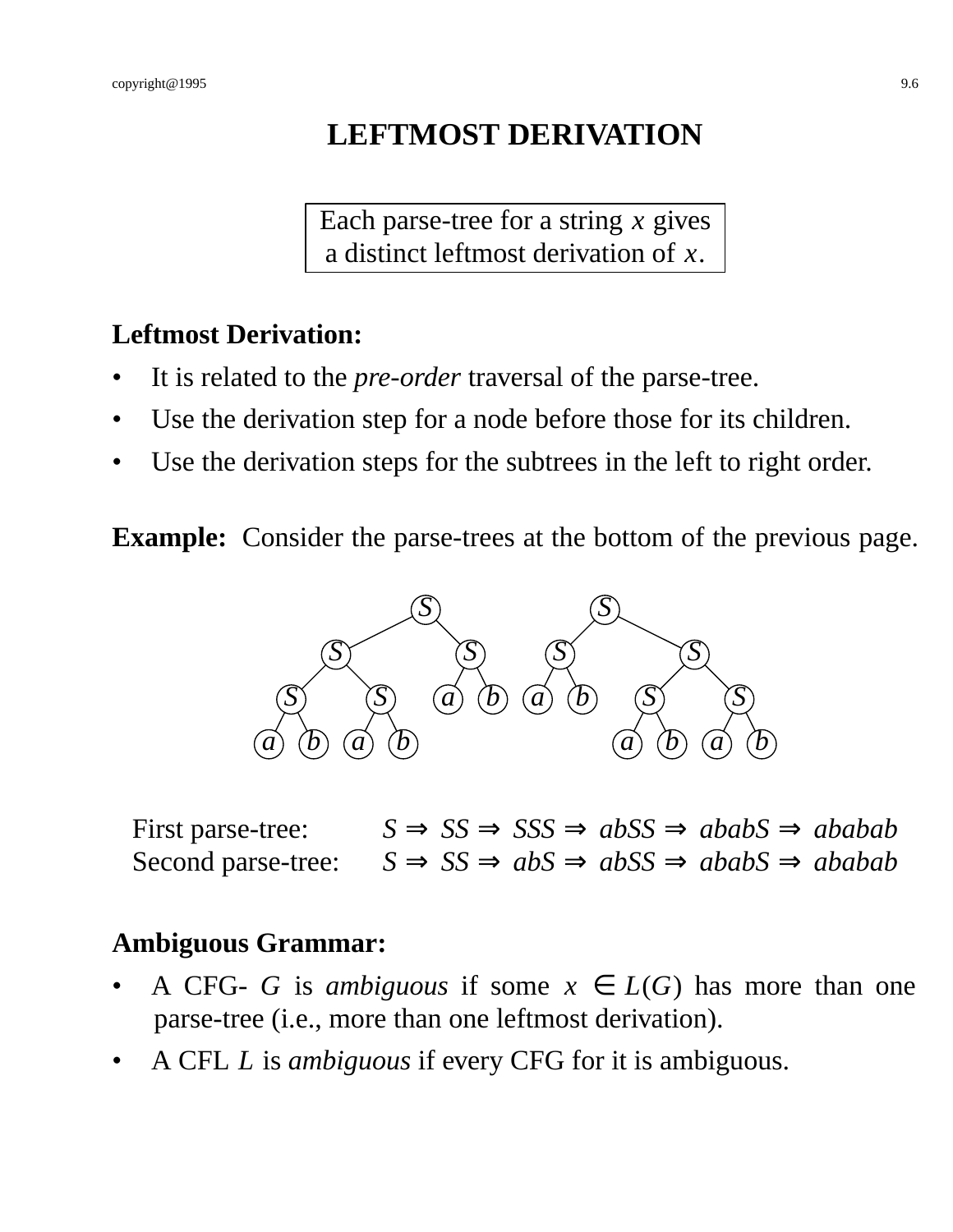# **LEFTMOST DERIVATION**

Each parse-tree for a string *x* gives a distinct leftmost derivation of *x*.

## **Leftmost Derivation:**

- It is related to the *pre-order* traversal of the parse-tree.
- Use the derivation step for a node before those for its children.
- Use the derivation steps for the subtrees in the left to right order.

**Example:** Consider the parse-trees at the bottom of the previous page.



First parse-tree:  $S \implies SS \implies SSS \implies abSS \implies ababs \implies abab$ Second parse-tree:  $S \implies SS \implies abS \implies abSS \implies ababS \implies ababS$ 

#### **Ambiguous Grammar:**

- A CFG- *G* is *ambiguous* if some  $x \in L(G)$  has more than one parse-tree (i.e., more than one leftmost derivation).
- A CFL *L* is *ambiguous* if every CFG for it is ambiguous.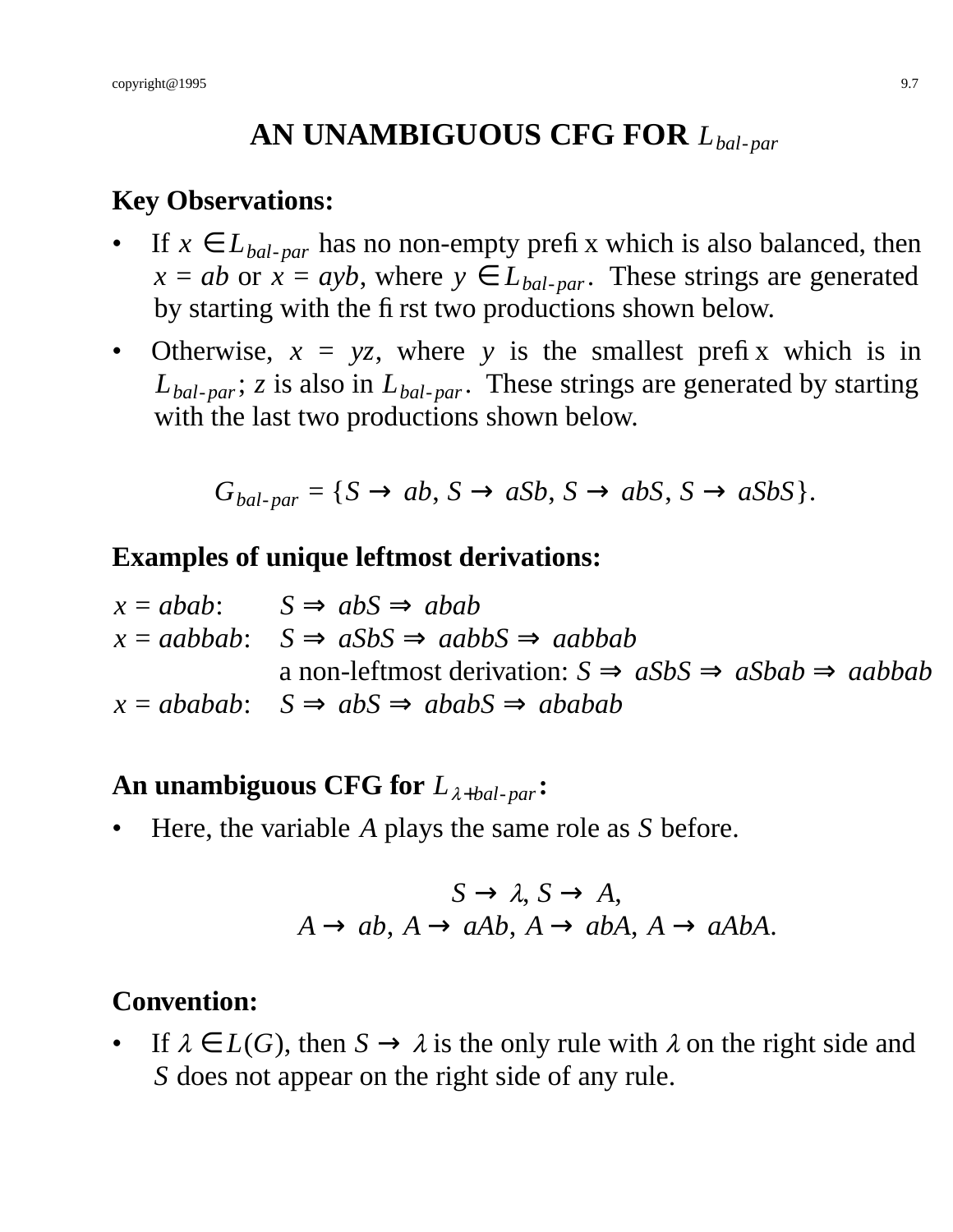# **AN UNAMBIGUOUS CFG FOR** *Lbal*-*par*

#### **Key Observations:**

- If  $x \in L_{bal\text{-}par}$  has no non-empty prefix which is also balanced, then  $x = ab$  or  $x = ayb$ , where  $y \in L_{bal\text{-}par}$ . These strings are generated by starting with the first two productions shown below.
- Otherwise,  $x = yz$ , where y is the smallest prefix which is in *Lbal*-*par*; *z* is also in *Lbal*-*par*. These strings are generated by starting with the last two productions shown below.

$$
G_{bal-par} = \{ S \rightarrow ab, S \rightarrow aSb, S \rightarrow abS, S \rightarrow aSbS \}.
$$

#### **Examples of unique leftmost derivations:**

| $x = abab$ : $S \Rightarrow abS \Rightarrow abab$                                    |
|--------------------------------------------------------------------------------------|
| $x = aabbab$ : $S \Rightarrow aSbS \Rightarrow aabbS \Rightarrow aabbab$             |
| a non-leftmost derivation: $S \Rightarrow aSbS \Rightarrow aSbab \Rightarrow aabbab$ |
| $x = ababab$ : $S \Rightarrow abS \Rightarrow ababS \Rightarrow ababab$              |

## **An unambiguous CFG for** *L*λ+*bal*-*par***:**

• Here, the variable *A* plays the same role as *S* before.

$$
S \to \lambda, S \to A,
$$
  
 $A \to ab, A \to aAb, A \to abA, A \to aAbA.$ 

#### **Convention:**

If  $\lambda \in L(G)$ , then  $S \to \lambda$  is the only rule with  $\lambda$  on the right side and *S* does not appear on the right side of any rule.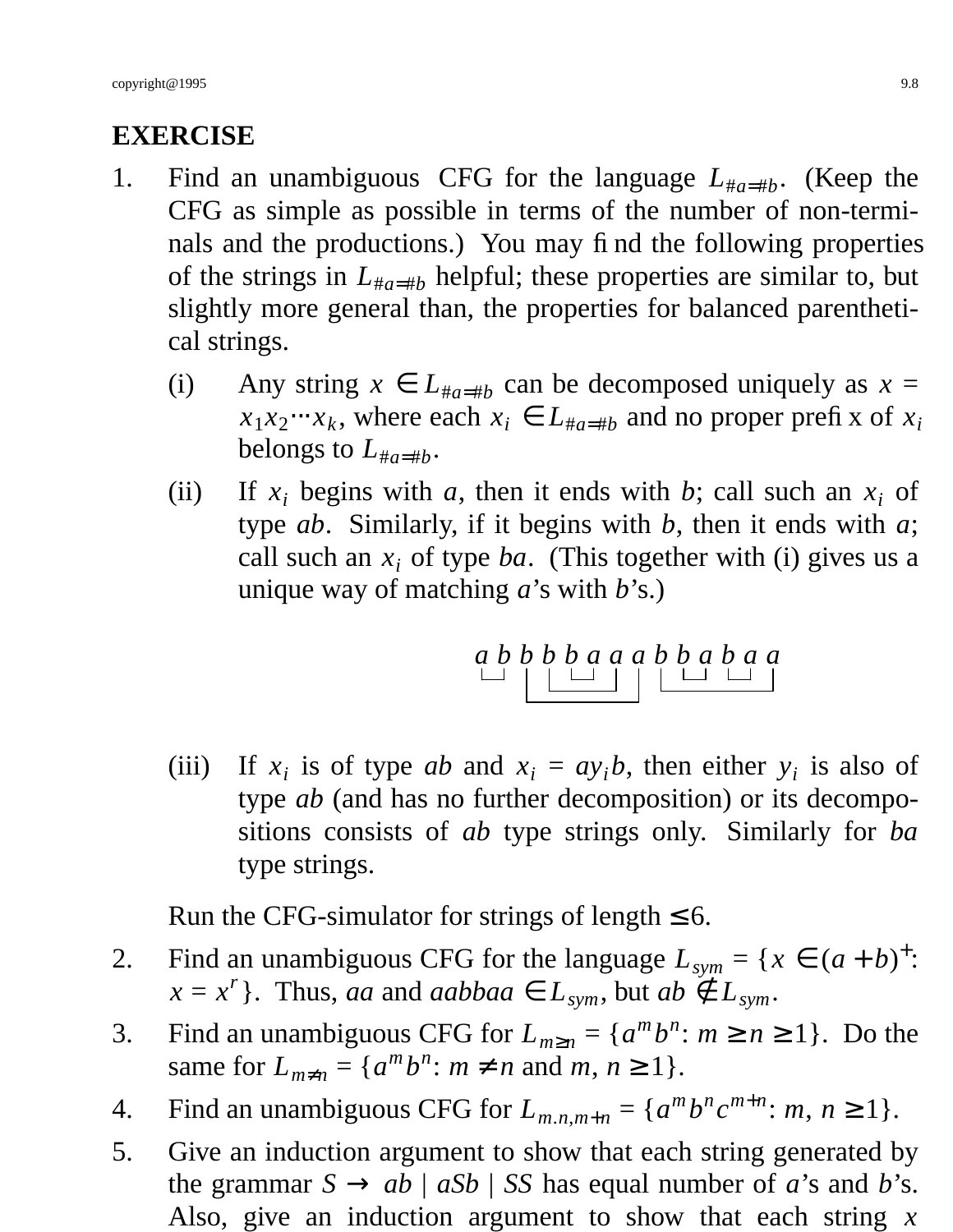# **EXERCISE**

- 1. Find an unambiguous CFG for the language  $L_{\#a=\#b}$ . (Keep the CFG as simple as possible in terms of the number of non-terminals and the productions.) You may find the following properties of the strings in  $L_{\mu a=\mu b}$  helpful; these properties are similar to, but slightly more general than, the properties for balanced parenthetical strings.
	- (i) Any string  $x \in L_{\#a=\#b}$  can be decomposed uniquely as  $x =$  $x_1 x_2 \cdots x_k$ , where each  $x_i \in L_{\#a = \#b}$  and no proper prefix of  $x_i$ belongs to  $L_{\#a=\#b}$ .
	- (ii) If  $x_i$  begins with *a*, then it ends with *b*; call such an  $x_i$  of type *ab*. Similarly, if it begins with *b*, then it ends with *a*; call such an *x<sup>i</sup>* of type *ba*. (This together with (i) gives us a unique way of matching *a*'s with *b*'s.)

$$
\begin{array}{c|c|c|c|c|c} a & b & b & b & a & a & a & b & b & a & a \\ \hline \square & \square & \square & \square & \square & \square & \square & \square \end{array}
$$

(iii) If  $x_i$  is of type *ab* and  $x_i = ay_i b$ , then either  $y_i$  is also of type *ab* (and has no further decomposition) or its decompositions consists of *ab* type strings only. Similarly for *ba* type strings.

Run the CFG-simulator for strings of length  $\leq 6$ .

- 2. Find an unambiguous CFG for the language  $L_{sym} = \{x \in (a+b)^{+} :$  $x = x^r$ . Thus, *aa* and *aabbaa*  $\in L_{sym}$ , but  $ab \notin L_{sym}$ .
- 3. Find an unambiguous CFG for  $L_{m\geq n} = \{a^m b^n : m \geq n \geq 1\}$ . Do the same for  $L_{m \neq n} = \{a^m b^n : m \neq n \text{ and } m, n \geq 1\}.$
- 4. Find an unambiguous CFG for  $L_{m,n,m+n} = \{a^m b^n c^{m+n} : m, n \ge 1\}.$
- 5. Give an induction argument to show that each string generated by the grammar  $S \rightarrow ab \mid aSb \mid SS$  has equal number of *a*'s and *b*'s. Also, give an induction argument to show that each string *x*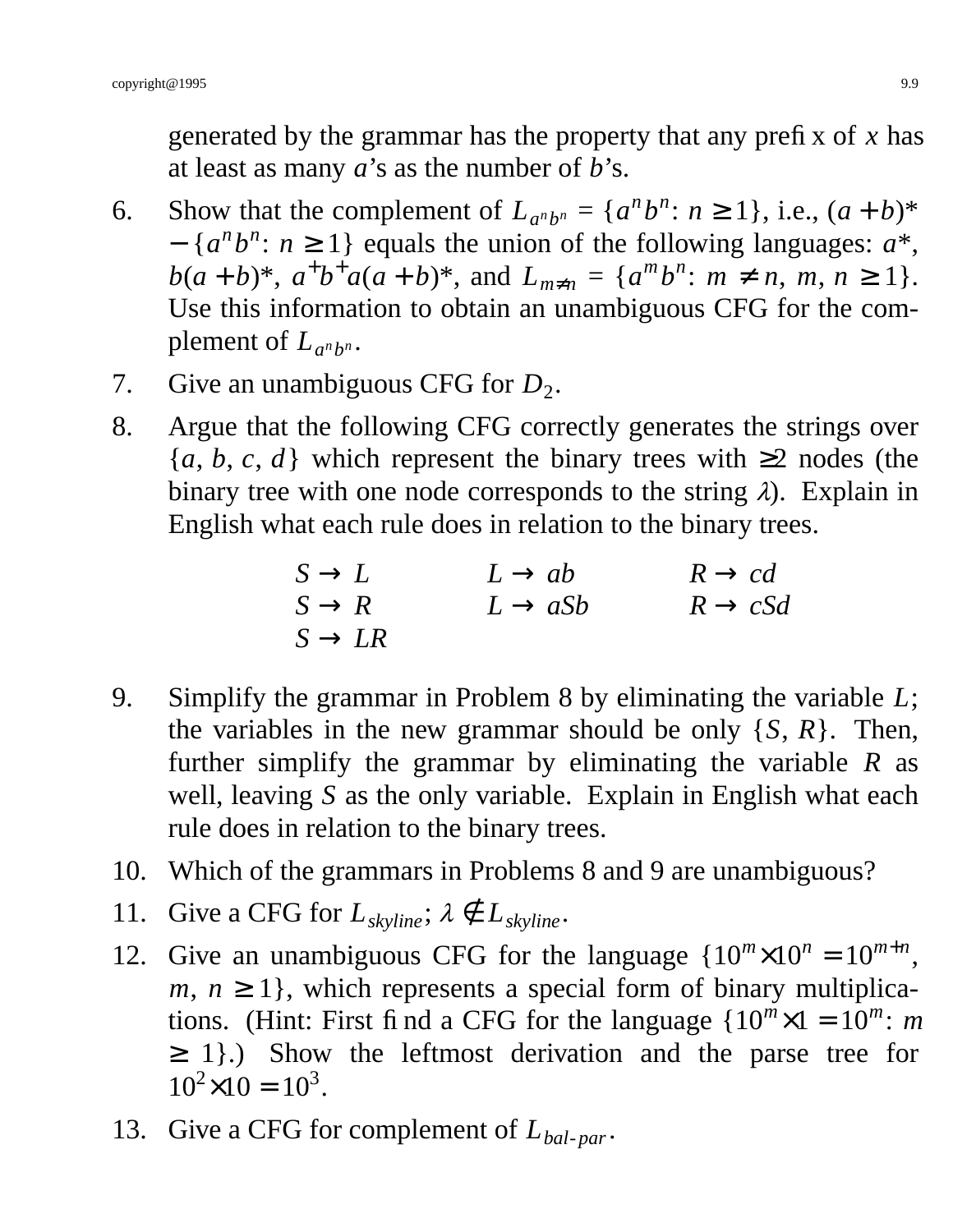generated by the grammar has the property that any prefix of *x* has at least as many *a*'s as the number of *b*'s.

- 6. Show that the complement of  $L_{a^n b^n} = \{a^n b^n : n \ge 1\}$ , i.e.,  $(a + b)^*$  $-$  { $a^n b^n$ :  $n \ge 1$ } equals the union of the following languages:  $a^*$ , *b*(*a* + *b*)\*,  $a^+b^+a(a+b)$ \*, and  $L_{m \neq n} = \{a^m b^n : m \neq n, m, n \geq 1\}.$ Use this information to obtain an unambiguous CFG for the complement of  $L_{a^n b^n}$ .
- 7. Give an unambiguous CFG for  $D_2$ .
- 8. Argue that the following CFG correctly generates the strings over  ${a, b, c, d}$  which represent the binary trees with  $\geq 2$  nodes (the binary tree with one node corresponds to the string  $\lambda$ ). Explain in English what each rule does in relation to the binary trees.

$$
S \to L S \to R S \to R S \to LR
$$
  $L \to aSb$   $R \to cSd$   
 $S \to LR$ 

- 9. Simplify the grammar in Problem 8 by eliminating the variable *L*; the variables in the new grammar should be only  $\{S, R\}$ . Then, further simplify the grammar by eliminating the variable *R* as well, leaving *S* as the only variable. Explain in English what each rule does in relation to the binary trees.
- 10. Which of the grammars in Problems 8 and 9 are unambiguous?
- 11. Give a CFG for  $L_{\text{skvline}}$ ;  $\lambda \notin L_{\text{skvline}}$ .
- 12. Give an unambiguous CFG for the language  ${10^m \times 10^n} = 10^{m+n}$ ,  $m, n \geq 1$ , which represents a special form of binary multiplications. (Hint: First find a CFG for the language  ${10^m \times 1 = 10^m$ : *m* ≥ 1}.) Show the leftmost derivation and the parse tree for  $10^2 \times 10 = 10^3$ .
- 13. Give a CFG for complement of *Lbal*-*par*.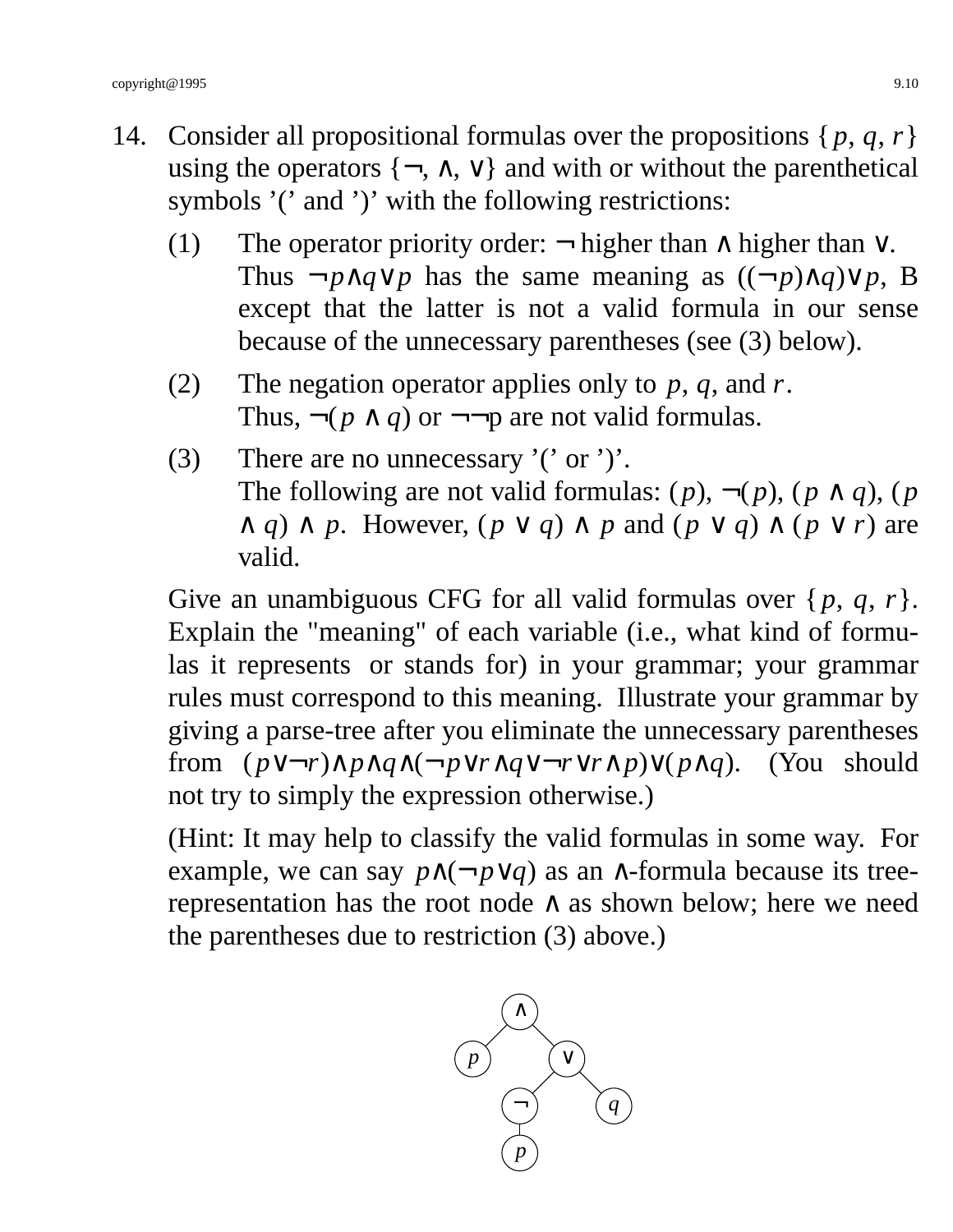- 14. Consider all propositional formulas over the propositions  $\{p, q, r\}$ using the operators  $\{\neg, \wedge, \vee\}$  and with or without the parenthetical symbols '(' and ')' with the following restrictions:
	- (1) The operator priority order:  $\neg$  higher than  $\wedge$  higher than  $\vee$ . Thus  $\neg p \land q \lor p$  has the same meaning as  $((\neg p) \land q) \lor p$ , B except that the latter is not a valid formula in our sense because of the unnecessary parentheses (see (3) below).
	- (2) The negation operator applies only to *p*, *q*, and *r*. Thus,  $\neg(p \land q)$  or  $\neg\neg p$  are not valid formulas.
	- (3) There are no unnecessary '(' or ')'. The following are not valid formulas:  $(p)$ ,  $\neg(p)$ ,  $(p \land q)$ ,  $(p \land q)$  $\wedge$  *q*)  $\wedge$  *p*. However,  $(p \vee q) \wedge p$  and  $(p \vee q) \wedge (p \vee r)$  are valid.

Give an unambiguous CFG for all valid formulas over  $\{p, q, r\}$ . Explain the "meaning" of each variable (i.e., what kind of formulas it represents or stands for) in your grammar; your grammar rules must correspond to this meaning. Illustrate your grammar by giving a parse-tree after you eliminate the unnecessary parentheses from (*p*∨¬*r*)∧*p*∧*q*∧(¬*p*∨*r*∧*q*∨¬*r*∨*r*∧*p*)∨(*p*∧*q*). (You should not try to simply the expression otherwise.)

(Hint: It may help to classify the valid formulas in some way. For example, we can say  $p \land (\neg p \lor q)$  as an  $\land$ -formula because its treerepresentation has the root node  $\land$  as shown below; here we need the parentheses due to restriction (3) above.)

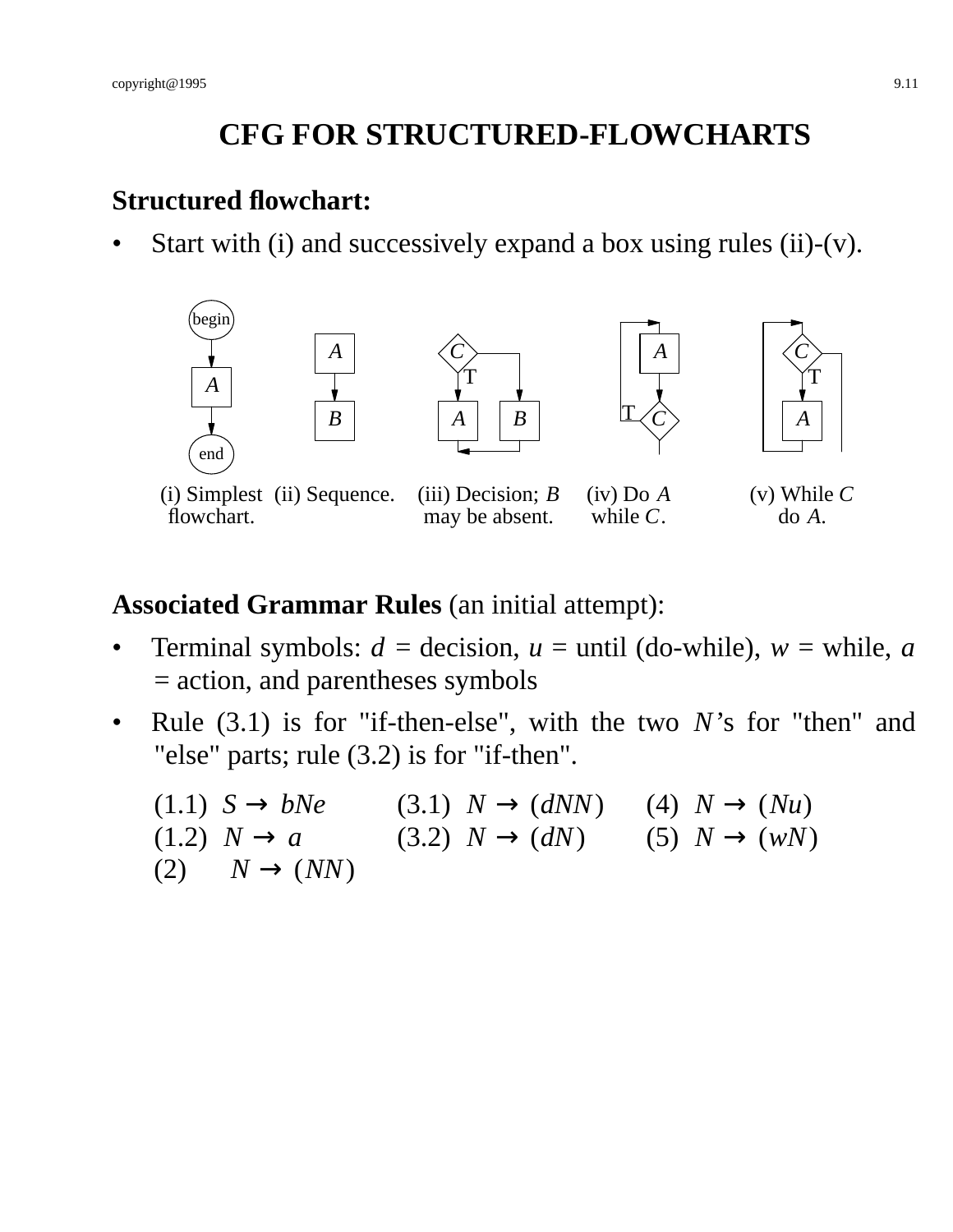# **CFG FOR STRUCTURED-FLOWCHARTS**

#### **Structured flowchart:**

Start with (i) and successively expand a box using rules (ii)- $(v)$ .



(i) Simplest (ii) Sequence. flowchart.

(iii) Decision; *B* may be absent.

(iv) Do *A* while *C*.

(v) While *C* do *A*.

## **Associated Grammar Rules** (an initial attempt):

- Terminal symbols:  $d =$  decision,  $u =$  until (do-while),  $w =$  while,  $a$ = action, and parentheses symbols
- Rule (3.1) is for "if-then-else", with the two *N*'s for "then" and "else" parts; rule (3.2) is for "if-then".

| $(1.1)$ $S \rightarrow bNe$     | $(3.1) N \rightarrow (dNN)$ | $(4) N \rightarrow (Nu)$ |
|---------------------------------|-----------------------------|--------------------------|
| $(1.2) N \rightarrow a$         | $(3.2) N \rightarrow (dN)$  | $(5) N \rightarrow (wN)$ |
| $(2) \qquad N \rightarrow (NN)$ |                             |                          |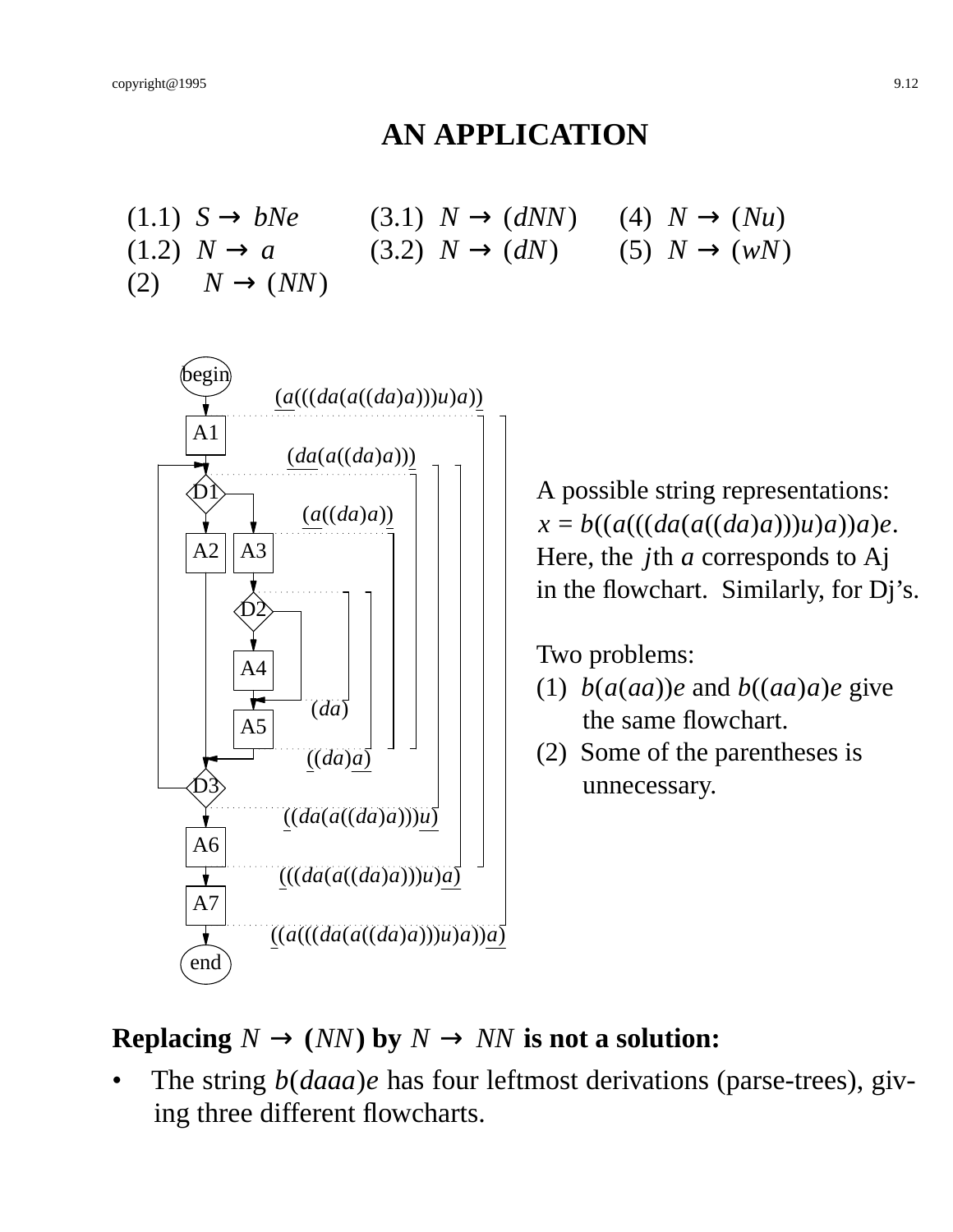#### **AN APPLICATION**

(1.1)  $S \rightarrow bNe$  (3.1)  $N \rightarrow (dNN)$  (4)  $N \rightarrow (Nu)$ (1.2)  $N \to a$  (3.2)  $N \to (dN)$  (5)  $N \to (wN)$  $(2) \quad N \rightarrow (NN)$ 



A possible string representations:  $x = b((a(((da((da)a)))(u)a))a)e.$ Here, the *j*th *a* corresponds to Aj in the flowchart. Similarly, for Dj's.

Two problems:

- (1)  $b(a(aa))$ *e* and  $b((aa)a)e$  give the same flowchart.
- (2) Some of the parentheses is unnecessary.

#### **Replacing**  $N \rightarrow (NN)$  by  $N \rightarrow NN$  is not a solution:

• The string *b*(*daaa*)*e* has four leftmost derivations (parse-trees), giving three different flowcharts.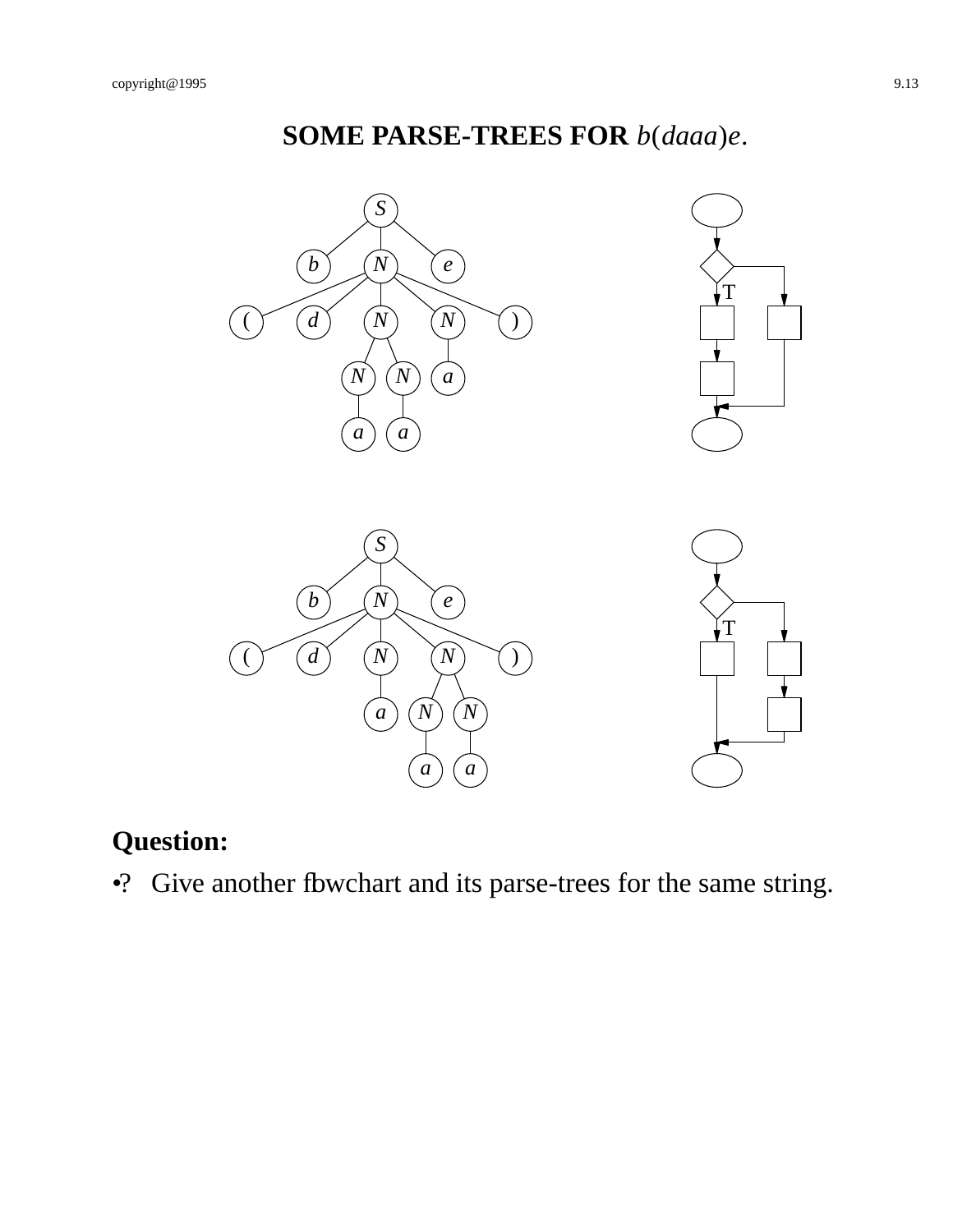# **SOME PARSE-TREES FOR** *b*(*daaa*)*e*.



# **Question:**

•? Give another fbwchart and its parse-trees for the same string.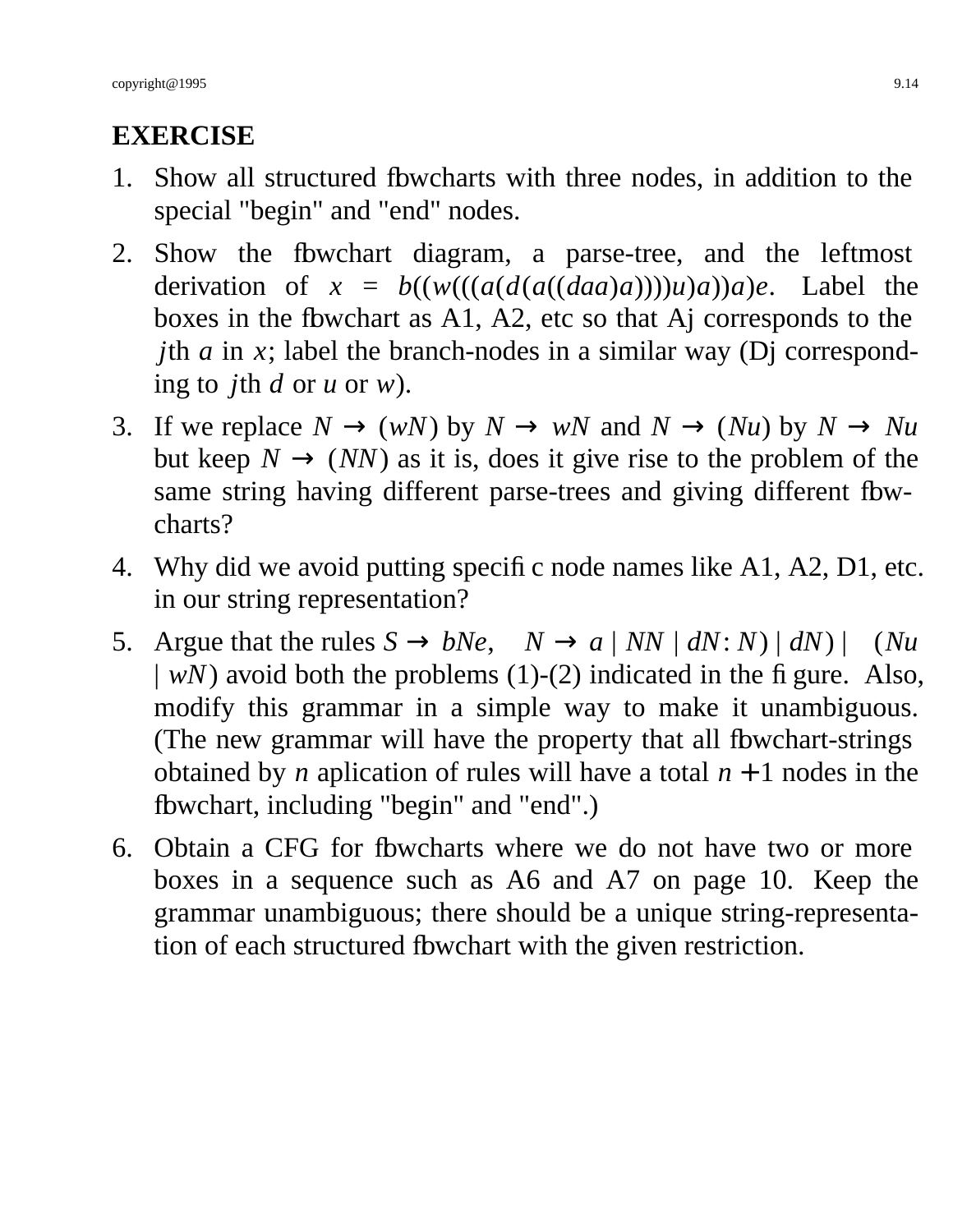# **EXERCISE**

- 1. Show all structured flowcharts with three nodes, in addition to the special "begin" and "end" nodes.
- 2. Show the flowchart diagram, a parse-tree, and the leftmost derivation of  $x = b((w(((a(d(a((da)a))))u)a))a)e$ . Label the boxes in the fbwchart as A1, A2, etc so that Aj corresponds to the *j*th *a* in *x*; label the branch-nodes in a similar way (Dj corresponding to *j*th *d* or *u* or *w*).
- 3. If we replace  $N \to (w)$  by  $N \to wN$  and  $N \to (Nu)$  by  $N \to Nu$ but keep  $N \rightarrow (NN)$  as it is, does it give rise to the problem of the same string having different parse-trees and giving different fbwcharts?
- 4. Why did we avoid putting specific node names like A1, A2, D1, etc. in our string representation?
- 5. Argue that the rules  $S \rightarrow bNe$ ,  $N \rightarrow a | NN | dN: N | dN$  | (*Nu*  $|$  *wN*) avoid both the problems (1)-(2) indicated in the figure. Also, modify this grammar in a simple way to make it unambiguous. (The new grammar will have the property that all fbwchart-strings obtained by *n* aplication of rules will have a total  $n + 1$  nodes in the fbwchart, including "begin" and "end".)
- 6. Obtain a CFG for flowcharts where we do not have two or more boxes in a sequence such as A6 and A7 on page 10. Keep the grammar unambiguous; there should be a unique string-representation of each structured fbwchart with the given restriction.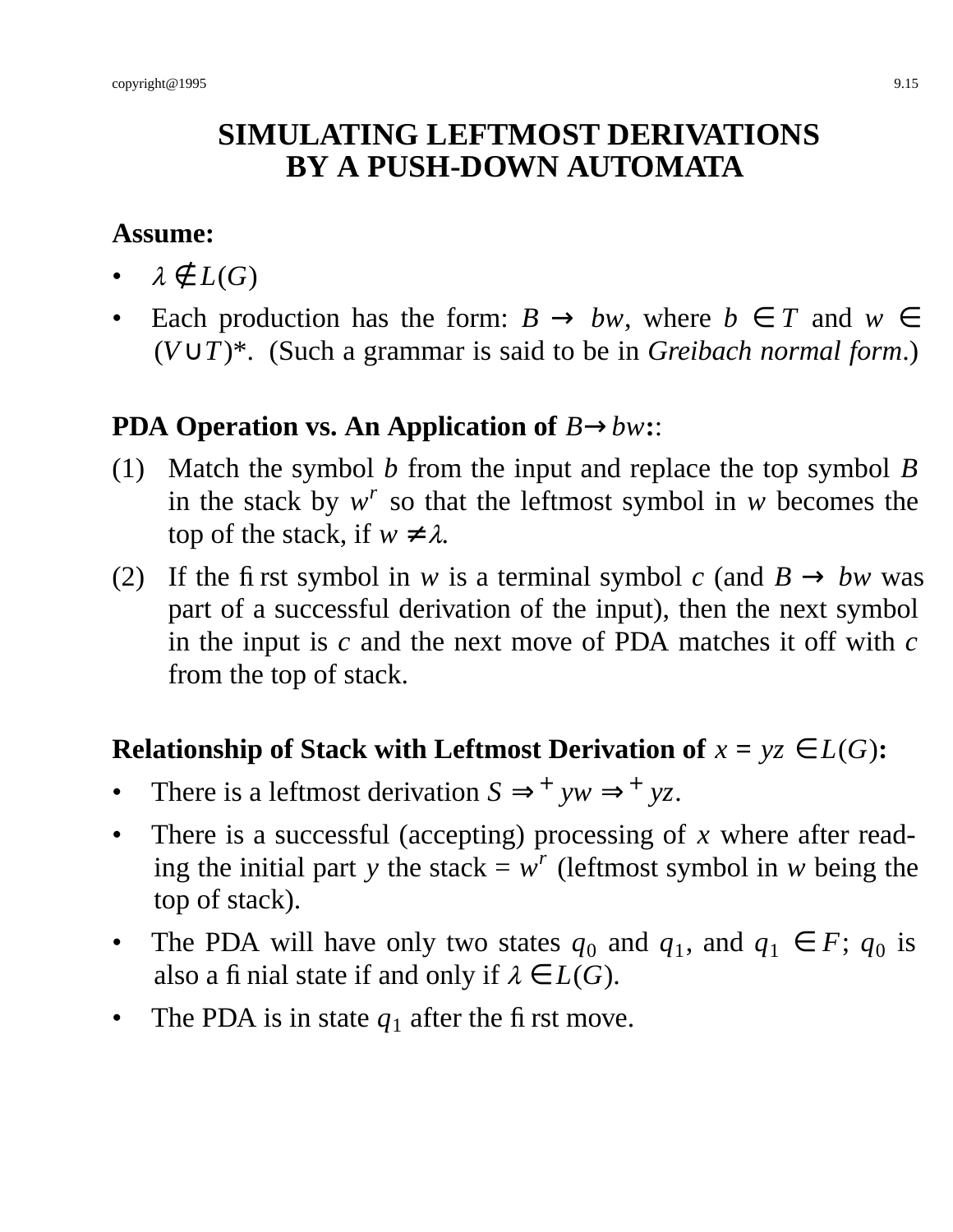# **SIMULATING LEFTMOST DERIVATIONS BY A PUSH-DOWN AUTOMATA**

## **Assume:**

- $\lambda \notin L(G)$
- Each production has the form:  $B \to bw$ , where  $b \in T$  and  $w \in T$ (*V*∪*T*)\*. (Such a grammar is said to be in *Greibach normal form*.)

# **PDA Operation vs. An Application of** *B*→*bw***:**:

- (1) Match the symbol *b* from the input and replace the top symbol *B* in the stack by  $w^r$  so that the leftmost symbol in *w* becomes the top of the stack, if  $w \neq \lambda$ .
- (2) If the first symbol in *w* is a terminal symbol *c* (and  $B \rightarrow bw$  was part of a successful derivation of the input), then the next symbol in the input is *c* and the next move of PDA matches it off with *c* from the top of stack.

# **Relationship of Stack with Leftmost Derivation of**  $x = yz \in L(G)$ :

- There is a leftmost derivation  $S \implies^+ yw \implies^+ yz$ .
- There is a successful (accepting) processing of *x* where after reading the initial part *y* the stack =  $w^r$  (leftmost symbol in *w* being the top of stack).
- The PDA will have only two states  $q_0$  and  $q_1$ , and  $q_1 \in F$ ;  $q_0$  is also a fi nial state if and only if  $\lambda \in L(G)$ .
- The PDA is in state  $q_1$  after the first move.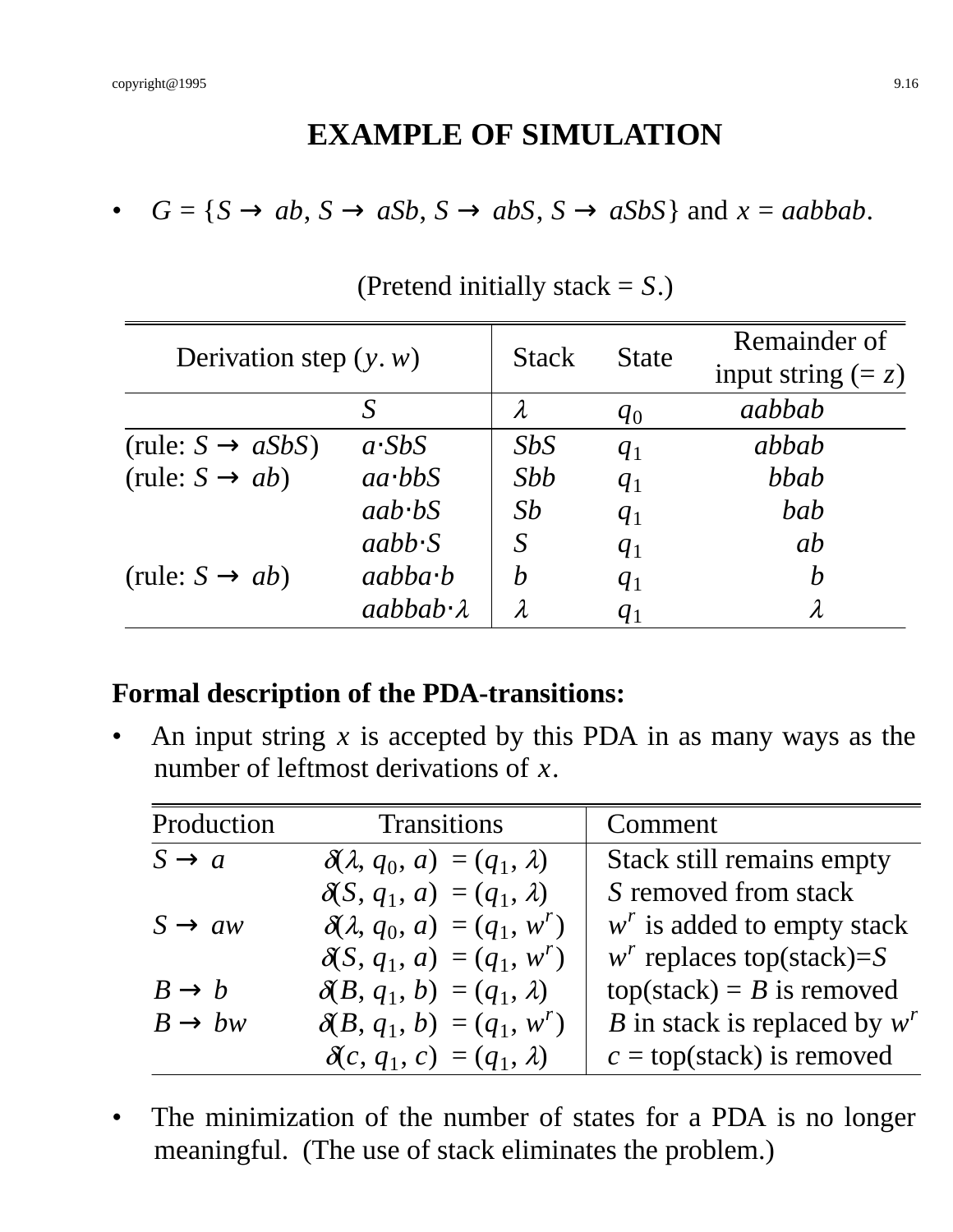# **EXAMPLE OF SIMULATION**

•  $G = \{S \rightarrow ab, S \rightarrow aSb, S \rightarrow abS, S \rightarrow aSbS\}$  and  $x = aabbab$ .

| Derivation step $(y, w)$      |                      | <b>Stack</b>     | <b>State</b> | Remainder of         |
|-------------------------------|----------------------|------------------|--------------|----------------------|
|                               |                      |                  |              | input string $(= z)$ |
|                               |                      |                  | $q_0$        | aabbab               |
| (rule: $S \rightarrow aSbS$ ) | $a$ . SbS            | SbS              | $q_1$        | abbab                |
| (rule: $S \rightarrow ab$ )   | $aa \cdot bbS$       | Sbb              | $q_1$        | bbab                 |
|                               | $aab$ bs             | Sb               | $q_1$        | bab                  |
|                               | $aabb\cdot S$        | S                | $q_1$        | ab                   |
| (rule: $S \rightarrow ab$ )   | $aabba \cdot b$      | $\boldsymbol{b}$ | $q_1$        | $\boldsymbol{b}$     |
|                               | $aabbab\cdot\lambda$ | $\lambda$        | $q_1$        |                      |

(Pretend initially stack = *S*.)

#### **Formal description of the PDA-transitions:**

• An input string *x* is accepted by this PDA in as many ways as the number of leftmost derivations of *x*.

| Production         | <b>Transitions</b>                         | Comment                            |
|--------------------|--------------------------------------------|------------------------------------|
| $S \rightarrow a$  | $\delta(\lambda, q_0, a) = (q_1, \lambda)$ | <b>Stack still remains empty</b>   |
|                    | $\delta(S, q_1, a) = (q_1, \lambda)$       | S removed from stack               |
| $S \rightarrow aw$ | $\delta(\lambda, q_0, a) = (q_1, w^r)$     | $wr$ is added to empty stack       |
|                    | $\delta(S, q_1, a) = (q_1, w^r)$           | $w^r$ replaces top(stack)=S        |
| $B \to b$          | $\delta(B, q_1, b) = (q_1, \lambda)$       | $top(state) = B$ is removed        |
| $B \to bw$         | $\delta(B, q_1, b) = (q_1, w^r)$           | B in stack is replaced by $w^r$    |
|                    | $\delta(c, q_1, c) = (q_1, \lambda)$       | $c = top(\text{stack})$ is removed |

• The minimization of the number of states for a PDA is no longer meaningful. (The use of stack eliminates the problem.)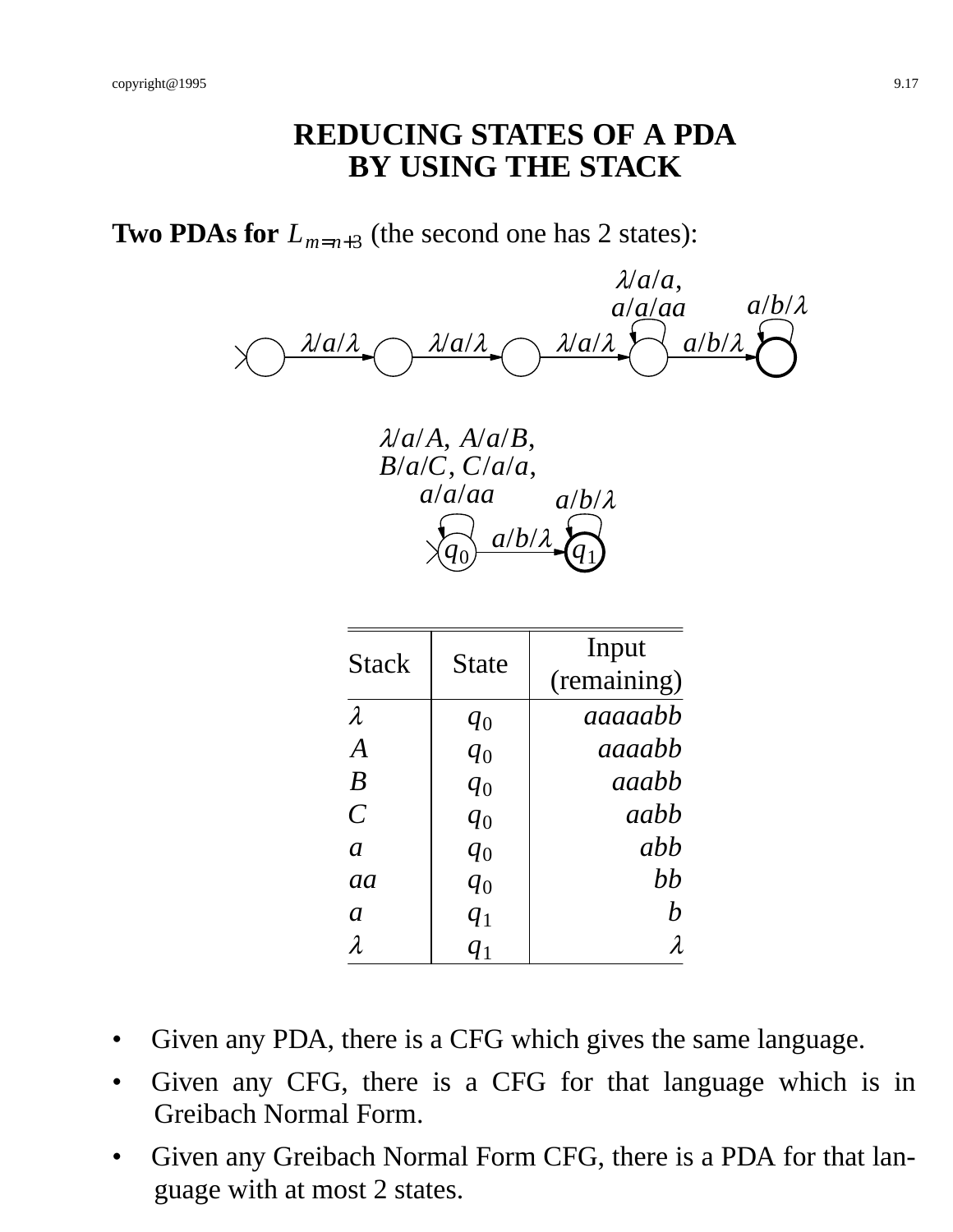## **REDUCING STATES OF A PDA BY USING THE STACK**

**Two PDAs for**  $L_{m=n+3}$  (the second one has 2 states):

<sup>λ</sup>/*a*/<sup>λ</sup> <sup>λ</sup>/*a*/<sup>λ</sup> <sup>λ</sup>/*a*/<sup>λ</sup> <sup>λ</sup>/*a*/*a*, *a*/*a*/*aa*  $a/b/\lambda$ *a*/*b*/<sup>λ</sup>

*q*0 <sup>λ</sup>/*a*/*A*, *A*/*a*/*B*, *B*/*a*/*C*, *C*/*a*/*a*, *a*/*a*/*aa q*1  $a/b/$ *a*/*b*/<sup>λ</sup>

| <b>Stack</b>     | State | Input            |
|------------------|-------|------------------|
|                  |       | (remaining)      |
| $\lambda$        | $q_0$ | aaaaabb          |
| $\boldsymbol{A}$ | $q_0$ | aaaabh           |
| $\boldsymbol{B}$ | $q_0$ | aaabb            |
| $\overline{C}$   | $q_0$ | aabh             |
| $\mathfrak{a}$   | $q_0$ | abb              |
| aa               | $q_0$ | bb               |
| $\boldsymbol{a}$ | $q_1$ | $\boldsymbol{h}$ |
| $\lambda$        | $q_1$ | $\lambda$        |

- Given any PDA, there is a CFG which gives the same language.
- Given any CFG, there is a CFG for that language which is in Greibach Normal Form.
- Given any Greibach Normal Form CFG, there is a PDA for that language with at most 2 states.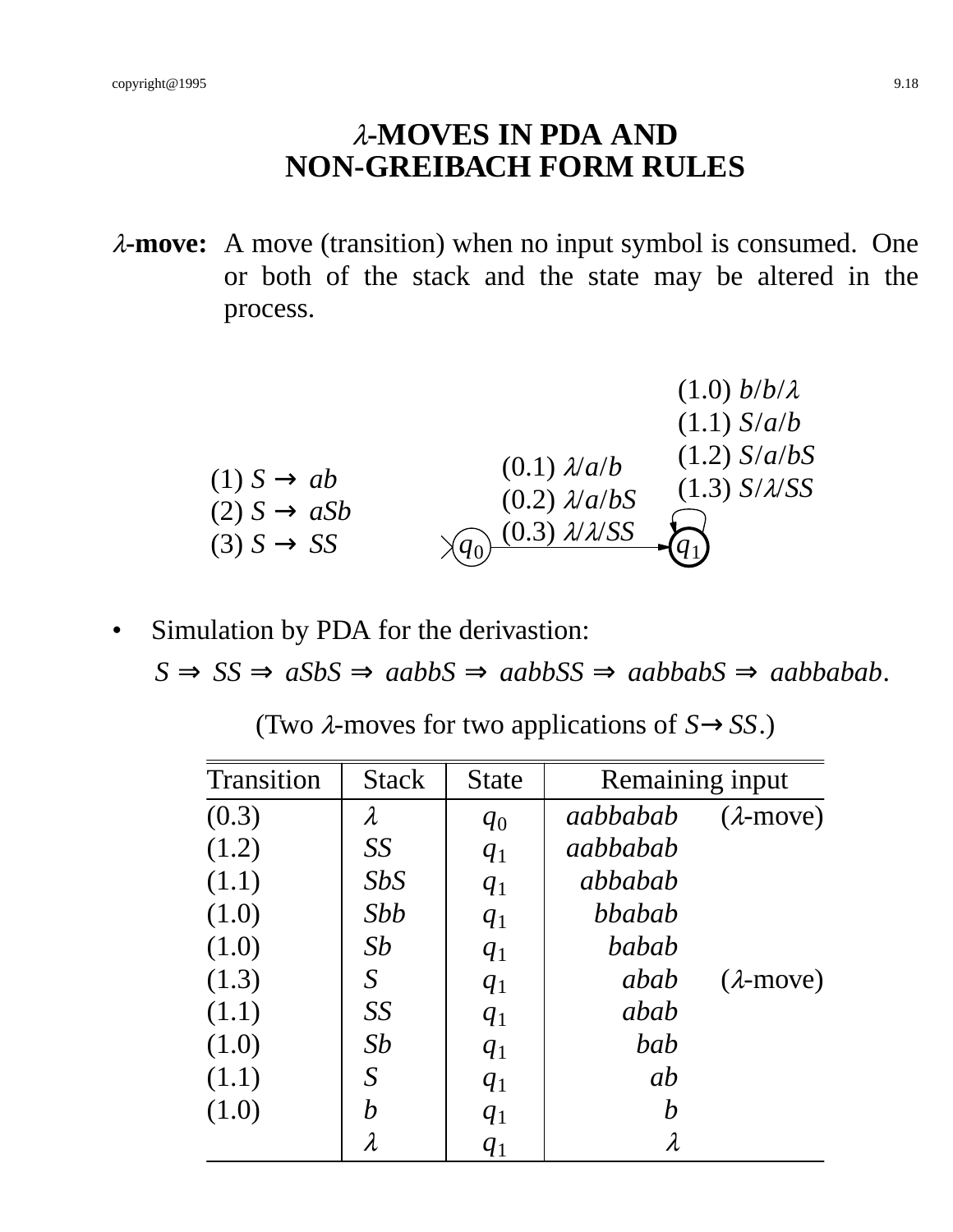# <sup>λ</sup>**-MOVES IN PDA AND NON-GREIBACH FORM RULES**

<sup>λ</sup>**-move:** A move (transition) when no input symbol is consumed. One or both of the stack and the state may be altered in the process.

(1.0) 
$$
b/b/\lambda
$$
  
\n(1.1)  $S/a/b$   
\n(1.2)  $S/a/b$   
\n(2)  $S \rightarrow aSb$   
\n(3)  $S \rightarrow SS$   
\n(4.3)  $S/\lambda/SS$   
\n(5)  $S \rightarrow SS$   
\n(6.4)  $\lambda/a/b$   
\n(6.5)  $\lambda/a/b$   
\n(6.6)  $\lambda/a/b$   
\n(6.7)  $\lambda/a/b$   
\n(6.8)  $\lambda/a/b$   
\n(6.9)  $\lambda/a/b$   
\n(6.1)  $\lambda/a/b$   
\n(6.2)  $\lambda/a/b$   
\n(6.3)  $\lambda/\lambda/SS$   
\n(6.4)

• Simulation by PDA for the derivastion:

 $S \Rightarrow SS \Rightarrow aSbS \Rightarrow aabbS \Rightarrow aabbSS \Rightarrow aabbabS \Rightarrow aabbabS$ .

| (Two $\lambda$ -moves for two applications of $S \rightarrow SS$ .) |  |  |  |  |
|---------------------------------------------------------------------|--|--|--|--|
|---------------------------------------------------------------------|--|--|--|--|

| <b>Transition</b> | <b>Stack</b>     | <b>State</b> | Remaining input  |                   |
|-------------------|------------------|--------------|------------------|-------------------|
| (0.3)             | $\lambda$        | $q_0$        | aabbabab         | $(\lambda$ -move) |
| (1.2)             | SS               | $q_1$        | aabbabab         |                   |
| (1.1)             | SbS              | $q_1$        | abbabab          |                   |
| (1.0)             | Sbb              | $q_1$        | bbabab           |                   |
| (1.0)             | Sb               | $q_1$        | babab            |                   |
| (1.3)             | S                | $q_1$        | abab             | $(\lambda$ -move) |
| (1.1)             | SS               | $q_1$        | abab             |                   |
| (1.0)             | Sb               | $q_1$        | bab              |                   |
| (1.1)             | S                | $q_1$        | ab               |                   |
| (1.0)             | $\boldsymbol{b}$ | $q_1$        | $\boldsymbol{b}$ |                   |
|                   | $\lambda$        | $q_1$        | $\lambda$        |                   |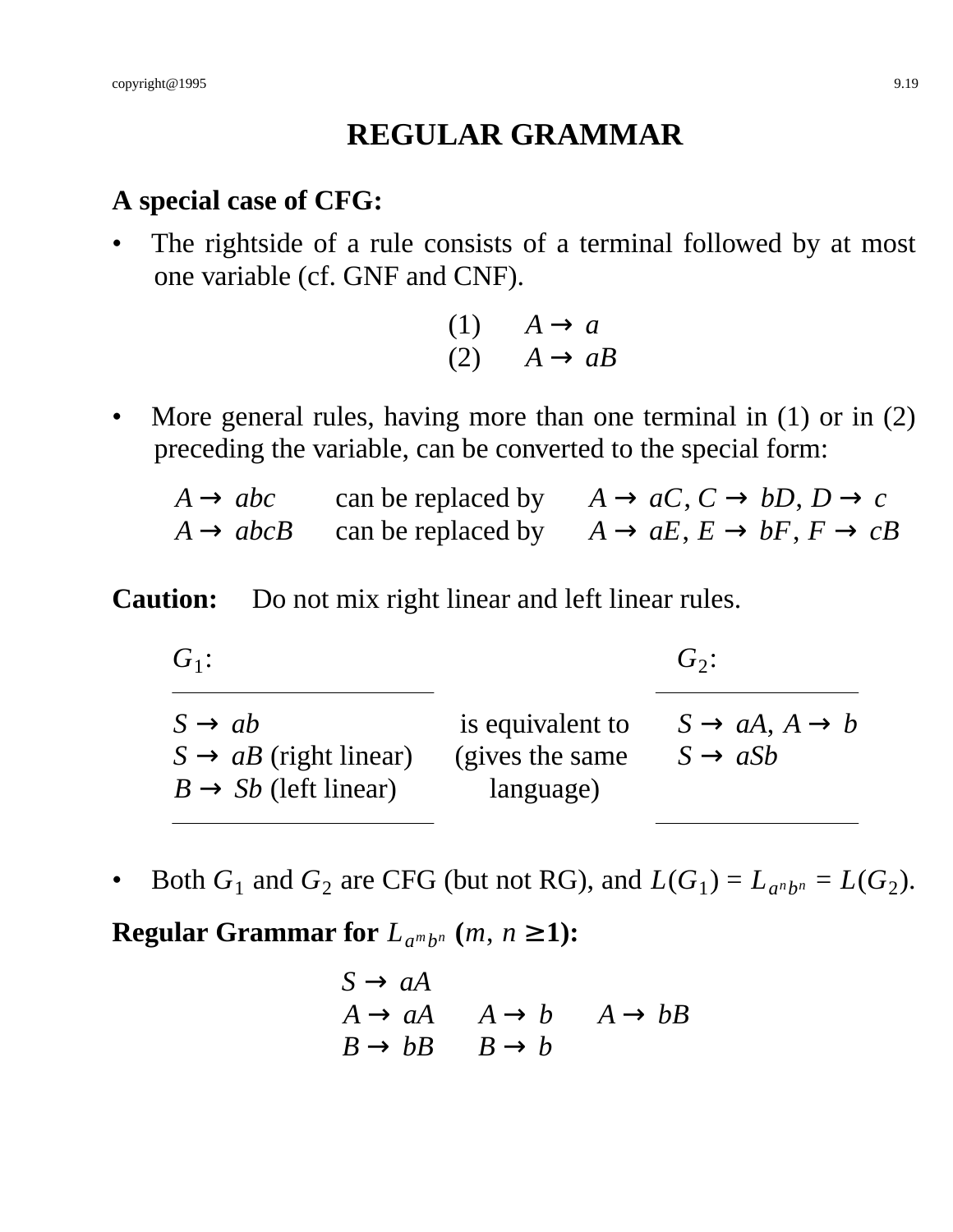# **REGULAR GRAMMAR**

#### **A special case of CFG:**

The rightside of a rule consists of a terminal followed by at most one variable (cf. GNF and CNF).

| (1) | $A \rightarrow a$ |                    |
|-----|-------------------|--------------------|
| (2) |                   | $A \rightarrow aB$ |

- More general rules, having more than one terminal in (1) or in (2) preceding the variable, can be converted to the special form:
	- $A \rightarrow abc$  can be replaced by  $A \rightarrow aC$ ,  $C \rightarrow bD$ ,  $D \rightarrow c$  $A \rightarrow abcB$  can be replaced by  $A \rightarrow aE, E \rightarrow bF, F \rightarrow cB$

#### **Caution:** Do not mix right linear and left linear rules.

| $G_1$ :                                                                                     |                                                   | $G_2$ :                                                    |
|---------------------------------------------------------------------------------------------|---------------------------------------------------|------------------------------------------------------------|
| $S \rightarrow ab$<br>$S \rightarrow aB$ (right linear)<br>$B \rightarrow Sb$ (left linear) | is equivalent to<br>(gives the same)<br>language) | $S \rightarrow aA, A \rightarrow b$<br>$S \rightarrow aSb$ |

• Both  $G_1$  and  $G_2$  are CFG (but not RG), and  $L(G_1) = L_{a^n b^n} = L(G_2)$ .

**Regular Grammar for**  $L_{a^m b^n}$   $(m, n \ge 1)$ :

$$
S \to aA
$$
  
\n $A \to aA$   $A \to b$   $A \to bB$   
\n $B \to bB$   $B \to b$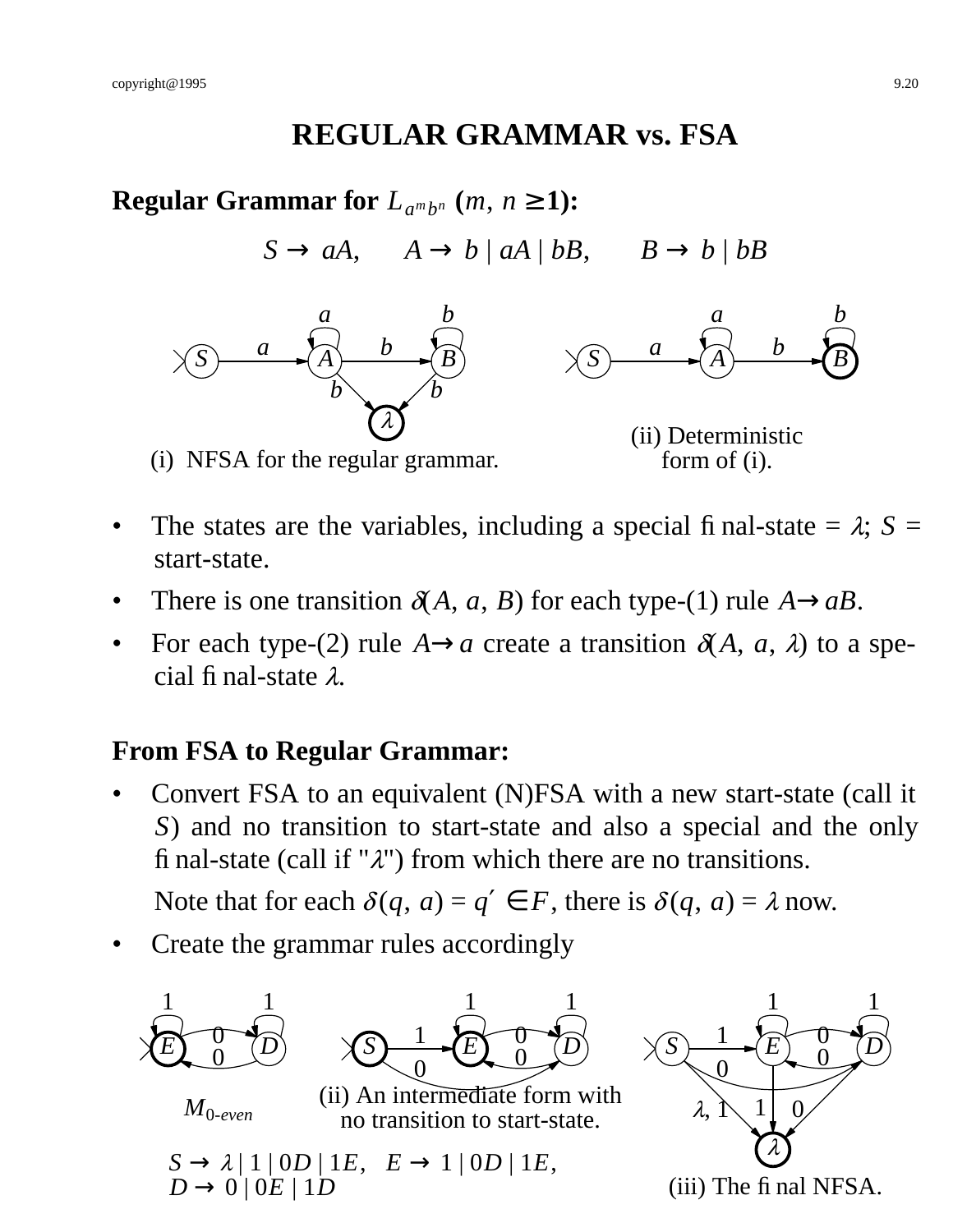### **REGULAR GRAMMAR vs. FSA**

**Regular Grammar for**  $L_{a^m b^n}$   $(m, n \ge 1)$ :

 $S \rightarrow aA$ ,  $A \rightarrow b \mid aA \mid bB$ ,  $B \rightarrow b \mid bB$ 





(ii) Deterministic form of (i).

- The states are the variables, including a special final-state  $= \lambda$ ;  $S =$ start-state.
- There is one transition  $\delta(A, a, B)$  for each type-(1) rule  $A \rightarrow aB$ .
- For each type-(2) rule  $A \rightarrow a$  create a transition  $\delta(A, a, \lambda)$  to a special final-state <sup>λ</sup>.

#### **From FSA to Regular Grammar:**

• Convert FSA to an equivalent (N)FSA with a new start-state (call it *S*) and no transition to start-state and also a special and the only final-state (call if " $\lambda$ ") from which there are no transitions.

Note that for each  $\delta(q, a) = q' \in F$ , there is  $\delta(q, a) = \lambda$  now.

• Create the grammar rules accordingly

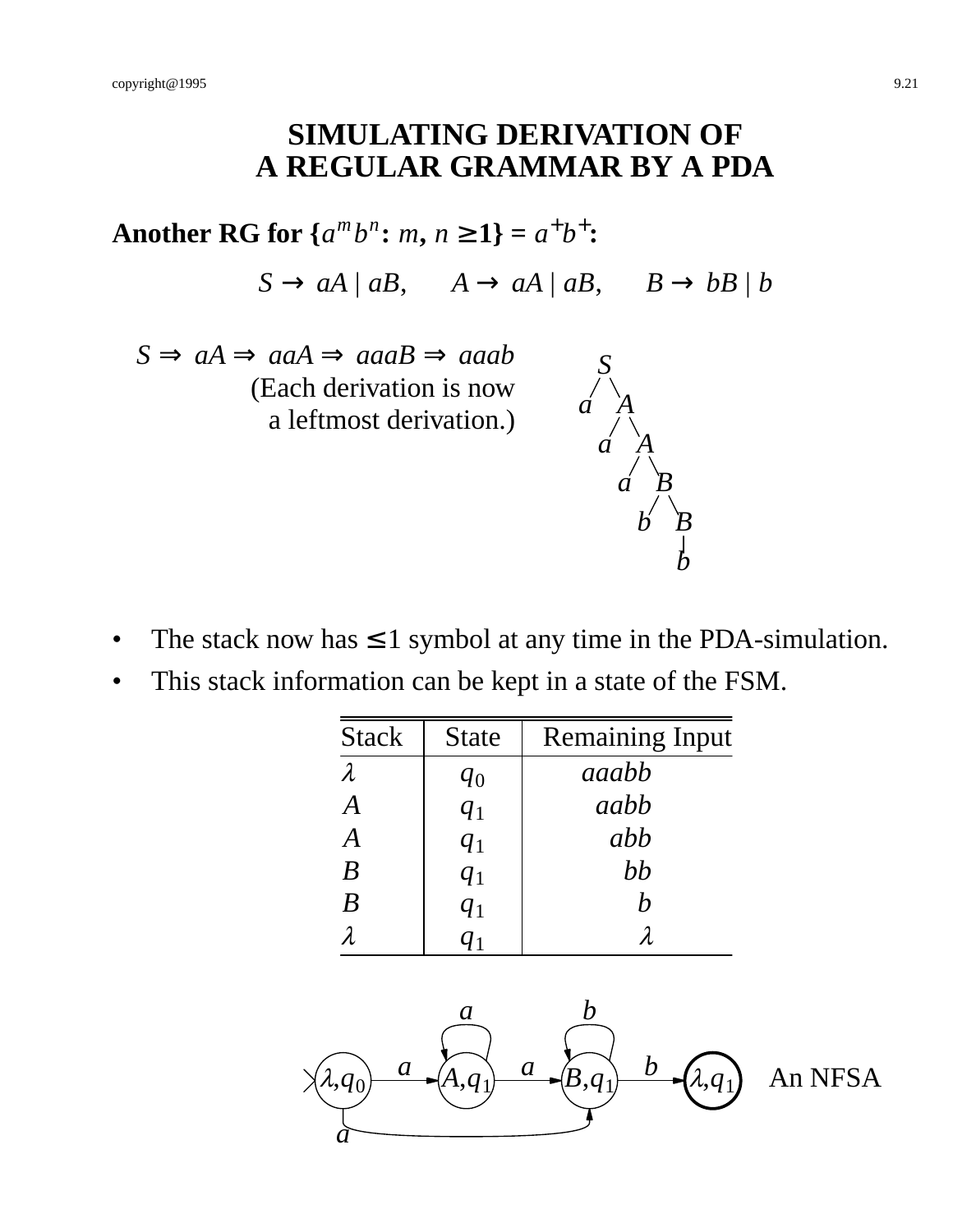# **SIMULATING DERIVATION OF A REGULAR GRAMMAR BY A PDA**

Another RG for  $\{a^m b^n : m, n \ge 1\} = a^+ b^+$ :

 $S \rightarrow aA \mid aB$ ,  $A \rightarrow aA \mid aB$ ,  $B \rightarrow bB \mid b$ 

 $S \Rightarrow aA \Rightarrow aaa \Rightarrow aaaB \Rightarrow aaaab$ (Each derivation is now a leftmost derivation.)

![](_page_20_Figure_5.jpeg)

- The stack now has  $\leq 1$  symbol at any time in the PDA-simulation.
- This stack information can be kept in a state of the FSM.

| <b>Stack</b>     | <b>State</b> | <b>Remaining Input</b> |
|------------------|--------------|------------------------|
| $\lambda$        | $q_0$        | aaabh                  |
| A                | $q_1$        | aabb                   |
| $\boldsymbol{A}$ | $q_1$        | abb                    |
| B                | $q_1$        | bb                     |
| B                | $q_1$        | $\bm{h}$               |
|                  |              |                        |

![](_page_20_Figure_9.jpeg)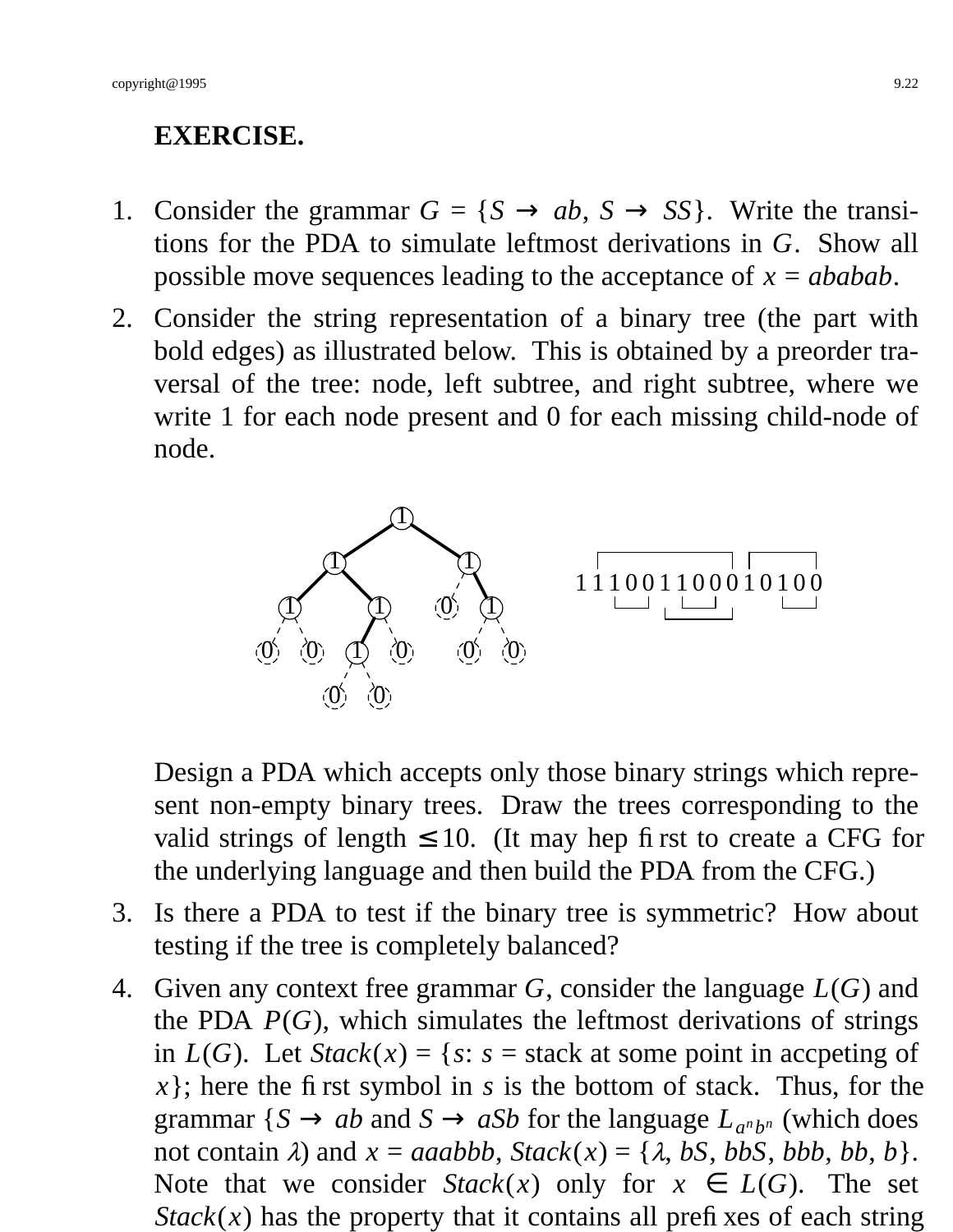## **EXERCISE.**

- 1. Consider the grammar  $G = \{S \rightarrow ab, S \rightarrow SS\}$ . Write the transitions for the PDA to simulate leftmost derivations in *G*. Show all possible move sequences leading to the acceptance of *x* = *ababab*.
- 2. Consider the string representation of a binary tree (the part with bold edges) as illustrated below. This is obtained by a preorder traversal of the tree: node, left subtree, and right subtree, where we write 1 for each node present and 0 for each missing child-node of node.

![](_page_21_Figure_4.jpeg)

Design a PDA which accepts only those binary strings which represent non-empty binary trees. Draw the trees corresponding to the valid strings of length  $\leq 10$ . (It may hep first to create a CFG for the underlying language and then build the PDA from the CFG.)

- 3. Is there a PDA to test if the binary tree is symmetric? How about testing if the tree is completely balanced?
- 4. Given any context free grammar *G*, consider the language *L*(*G*) and the PDA  $P(G)$ , which simulates the leftmost derivations of strings in  $L(G)$ . Let  $Stack(x) = \{s: s = stack \text{ at some point in accepting of }$ *x*}; here the first symbol in *s* is the bottom of stack. Thus, for the grammar {*S*  $\rightarrow$  *ab* and *S*  $\rightarrow$  *aSb* for the language  $L_{a^n b^n}$  (which does not contain  $\lambda$ ) and  $x = aaabbb$ ,  $Stack(x) = {\lambda, bS, bbb, bbb, bb, b}$ . Note that we consider  $Stack(x)$  only for  $x \in L(G)$ . The set  $Stack(x)$  has the property that it contains all prefixes of each string